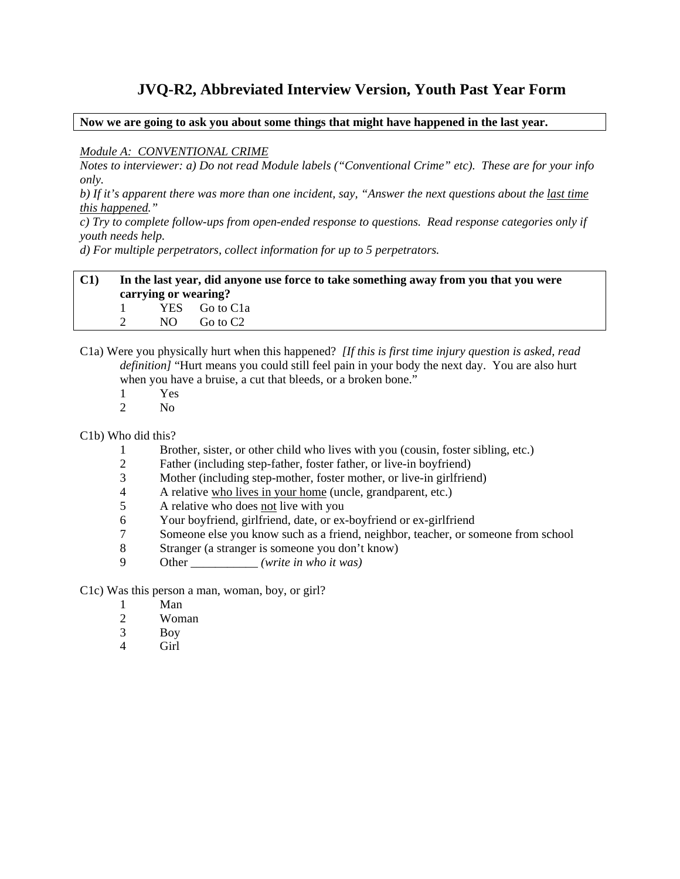# **JVQ-R2, Abbreviated Interview Version, Youth Past Year Form**

**Now we are going to ask you about some things that might have happened in the last year.** 

#### *Module A: CONVENTIONAL CRIME*

*Notes to interviewer: a) Do not read Module labels ("Conventional Crime" etc). These are for your info only.* 

*b) If it's apparent there was more than one incident, say, "Answer the next questions about the last time this happened."* 

*c) Try to complete follow-ups from open-ended response to questions. Read response categories only if youth needs help.* 

*d) For multiple perpetrators, collect information for up to 5 perpetrators.* 

#### **C1) In the last year, did anyone use force to take something away from you that you were carrying or wearing?**  1 YES Go to C1a 2 NO Go to C2

C1a) Were you physically hurt when this happened? *[If this is first time injury question is asked, read definition]* "Hurt means you could still feel pain in your body the next day. You are also hurt when you have a bruise, a cut that bleeds, or a broken bone."

- 1 Yes
- 2 No

C1b) Who did this?

- 1 Brother, sister, or other child who lives with you (cousin, foster sibling, etc.)
- 2 Father (including step-father, foster father, or live-in boyfriend)
- 3 Mother (including step-mother, foster mother, or live-in girlfriend)
- 4 A relative who lives in your home (uncle, grandparent, etc.)
- 5 A relative who does not live with you
- 6 Your boyfriend, girlfriend, date, or ex-boyfriend or ex-girlfriend
- 7 Someone else you know such as a friend, neighbor, teacher, or someone from school
- 8 Stranger (a stranger is someone you don't know)
- 9 Other \_\_\_\_\_\_\_\_\_\_\_ *(write in who it was)*

C1c) Was this person a man, woman, boy, or girl?

- 1 Man
- 2 Woman
- 3 Boy
- 4 Girl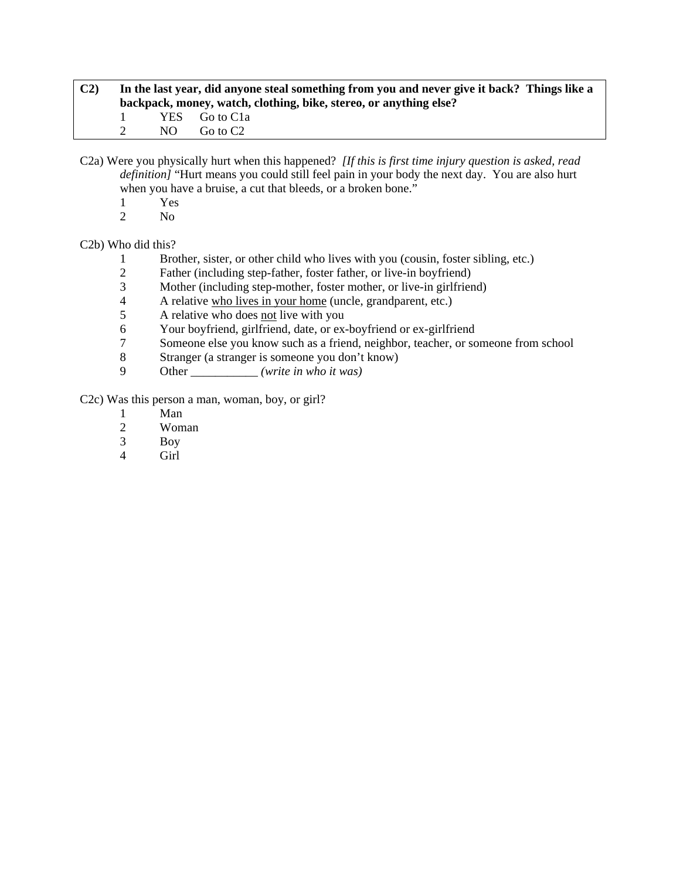| C <sub>2</sub> | In the last year, did anyone steal something from you and never give it back? Things like a<br>backpack, money, watch, clothing, bike, stereo, or anything else? |     |                      |  |  |
|----------------|------------------------------------------------------------------------------------------------------------------------------------------------------------------|-----|----------------------|--|--|
|                |                                                                                                                                                                  |     | YES Go to C1a        |  |  |
|                |                                                                                                                                                                  | NO. | Go to C <sub>2</sub> |  |  |

C2a) Were you physically hurt when this happened? *[If this is first time injury question is asked, read definition]* "Hurt means you could still feel pain in your body the next day. You are also hurt when you have a bruise, a cut that bleeds, or a broken bone."

- $\frac{1}{2}$  Yes
- N<sub>o</sub>

C2b) Who did this?

- 1 Brother, sister, or other child who lives with you (cousin, foster sibling, etc.)
- 2 Father (including step-father, foster father, or live-in boyfriend)
- 3 Mother (including step-mother, foster mother, or live-in girlfriend)<br>4 A relative who lives in your home (uncle, grandparent, etc.)
- 4 A relative who lives in your home (uncle, grandparent, etc.)
- 5 A relative who does not live with you
- 6 Your boyfriend, girlfriend, date, or ex-boyfriend or ex-girlfriend<br>
7 Someone else vou know such as a friend, neighbor, teacher, or so
- Someone else you know such as a friend, neighbor, teacher, or someone from school
- 8 Stranger (a stranger is someone you don't know)
- 9 Other \_\_\_\_\_\_\_\_\_\_\_ *(write in who it was)*

C2c) Was this person a man, woman, boy, or girl?

- 1 Man
- 2 Woman<br>3 Boy
- Boy
- 4 Girl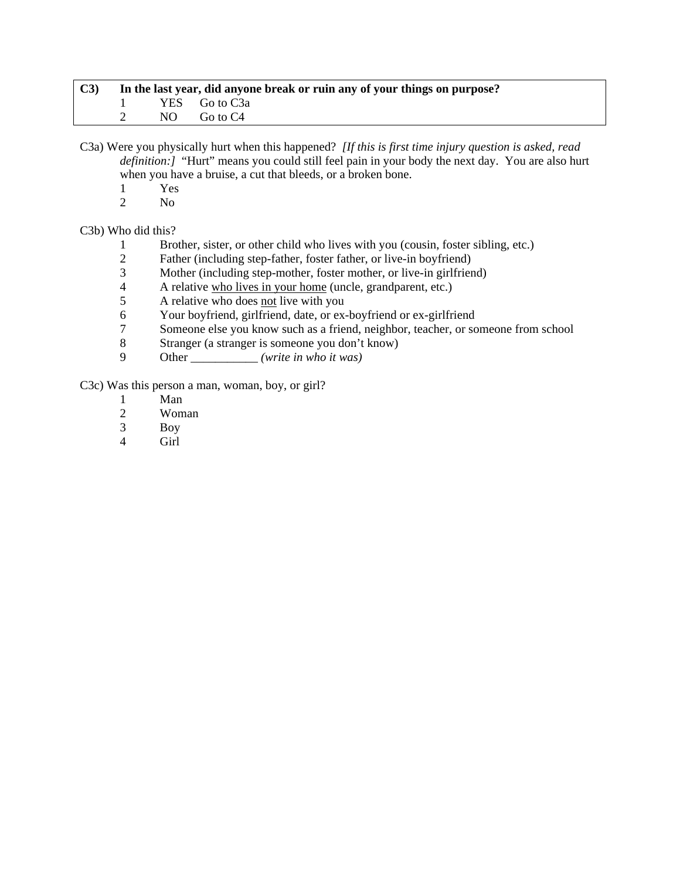| C3 | In the last year, did anyone break or ruin any of your things on purpose? |  |                 |  |  |  |
|----|---------------------------------------------------------------------------|--|-----------------|--|--|--|
|    |                                                                           |  | 1 YES Go to C3a |  |  |  |
|    |                                                                           |  | NO Go to C4     |  |  |  |

C3a) Were you physically hurt when this happened? *[If this is first time injury question is asked, read definition:]* "Hurt" means you could still feel pain in your body the next day. You are also hurt when you have a bruise, a cut that bleeds, or a broken bone.

- 
- $\frac{1}{2}$  Yes N<sub>o</sub>

C3b) Who did this?

- 1 Brother, sister, or other child who lives with you (cousin, foster sibling, etc.)
- 2 Father (including step-father, foster father, or live-in boyfriend)
- 3 Mother (including step-mother, foster mother, or live-in girlfriend)
- 4 A relative who lives in your home (uncle, grandparent, etc.)<br>5 A relative who does not live with you
- 5 A relative who does not live with you
- 6 Your boyfriend, girlfriend, date, or ex-boyfriend or ex-girlfriend
- 7 Someone else you know such as a friend, neighbor, teacher, or someone from school<br>8 Stranger (a stranger is someone you don't know)
- 8 Stranger (a stranger is someone you don't know)
- 9 Other \_\_\_\_\_\_\_\_\_\_\_ *(write in who it was)*

C3c) Was this person a man, woman, boy, or girl?

- 1 Man<br>2 Wom
- Woman
- 3 Boy
- Girl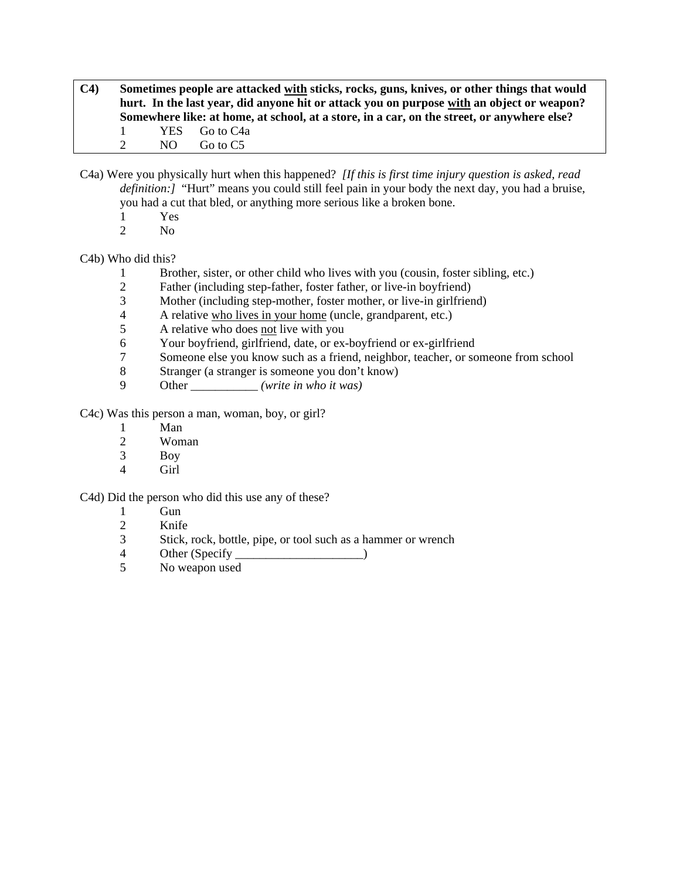- **C4) Sometimes people are attacked with sticks, rocks, guns, knives, or other things that would hurt. In the last year, did anyone hit or attack you on purpose with an object or weapon? Somewhere like: at home, at school, at a store, in a car, on the street, or anywhere else?**  1 YES Go to C4a 2 NO Go to C5
- C4a) Were you physically hurt when this happened? *[If this is first time injury question is asked, read definition:]* "Hurt" means you could still feel pain in your body the next day, you had a bruise, you had a cut that bled, or anything more serious like a broken bone.
	- 1 Yes
	- 2 No

# C4b) Who did this?

- 1 Brother, sister, or other child who lives with you (cousin, foster sibling, etc.)
- 2 Father (including step-father, foster father, or live-in boyfriend)
- 3 Mother (including step-mother, foster mother, or live-in girlfriend)
- 4 A relative who lives in your home (uncle, grandparent, etc.)
- 5 A relative who does not live with you
- 6 Your boyfriend, girlfriend, date, or ex-boyfriend or ex-girlfriend
- 7 Someone else you know such as a friend, neighbor, teacher, or someone from school
- 8 Stranger (a stranger is someone you don't know)
- 9 Other \_\_\_\_\_\_\_\_\_\_\_ *(write in who it was)*

C4c) Was this person a man, woman, boy, or girl?

- 1 Man<br>2 Wom
- Woman
- 3 Boy
- 4 Girl

C4d) Did the person who did this use any of these?

- 1 Gun<br>2 Knife
- 2 Knife<br>3 Stick.
- Stick, rock, bottle, pipe, or tool such as a hammer or wrench
- 4 Other (Specify )
- 5 No weapon used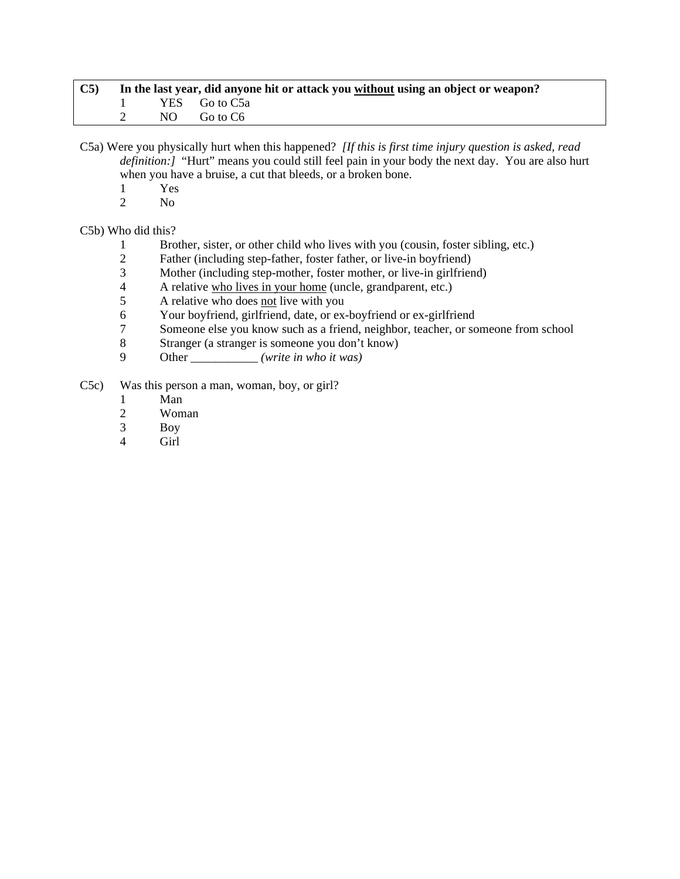| $\mathbf{C5}$ | In the last year, did anyone hit or attack you without using an object or weapon? |  |                 |  |  |
|---------------|-----------------------------------------------------------------------------------|--|-----------------|--|--|
|               |                                                                                   |  | 1 YES Go to C5a |  |  |
|               |                                                                                   |  | 2 NO Goto C6    |  |  |

C5a) Were you physically hurt when this happened? *[If this is first time injury question is asked, read definition:]* "Hurt" means you could still feel pain in your body the next day. You are also hurt when you have a bruise, a cut that bleeds, or a broken bone.

- 
- $\frac{1}{2}$  Yes N<sub>o</sub>

C5b) Who did this?

- 1 Brother, sister, or other child who lives with you (cousin, foster sibling, etc.)
- 2 Father (including step-father, foster father, or live-in boyfriend)
- 3 Mother (including step-mother, foster mother, or live-in girlfriend)
- 4 A relative who lives in your home (uncle, grandparent, etc.)<br>5 A relative who does not live with you
- A relative who does not live with you
- 6 Your boyfriend, girlfriend, date, or ex-boyfriend or ex-girlfriend
- 7 Someone else you know such as a friend, neighbor, teacher, or someone from school<br>8 Stranger (a stranger is someone you don't know)
- Stranger (a stranger is someone you don't know)
- 9 Other \_\_\_\_\_\_\_\_\_\_\_ *(write in who it was)*
- C5c) Was this person a man, woman, boy, or girl?
	- 1 Man
	- 2 Woman
	- 3 Boy
	- Girl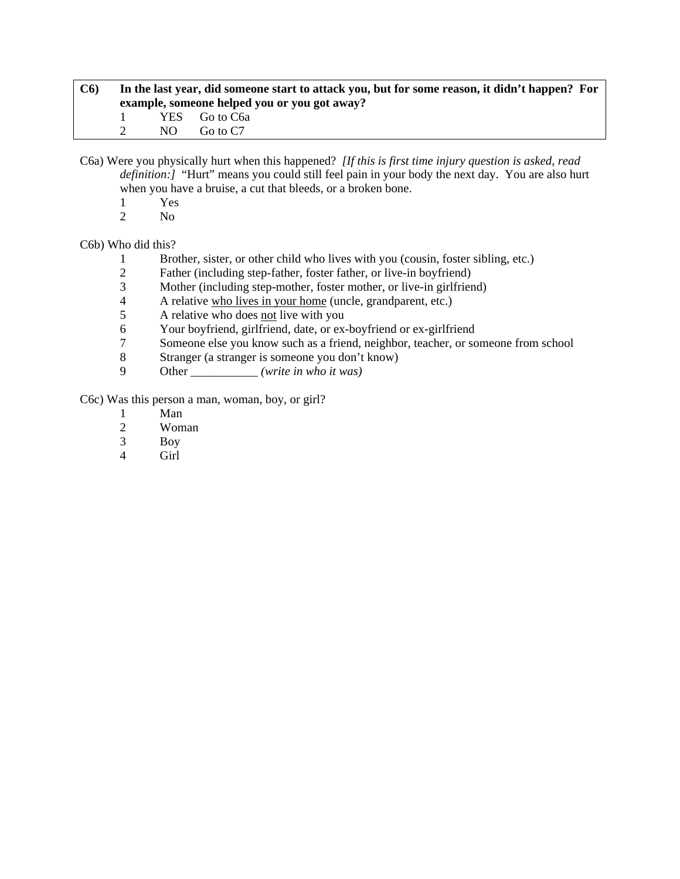| C6 | In the last year, did someone start to attack you, but for some reason, it didn't happen? For<br>example, someone helped you or you got away? |     |               |  |
|----|-----------------------------------------------------------------------------------------------------------------------------------------------|-----|---------------|--|
|    |                                                                                                                                               |     | YES Go to C6a |  |
|    |                                                                                                                                               | NO. | Go to C7      |  |

C6a) Were you physically hurt when this happened? *[If this is first time injury question is asked, read definition:]* "Hurt" means you could still feel pain in your body the next day. You are also hurt when you have a bruise, a cut that bleeds, or a broken bone.

- $\frac{1}{2}$  Yes
- N<sub>o</sub>

C6b) Who did this?

- 1 Brother, sister, or other child who lives with you (cousin, foster sibling, etc.)
- 2 Father (including step-father, foster father, or live-in boyfriend)
- 3 Mother (including step-mother, foster mother, or live-in girlfriend)<br>4 A relative who lives in your home (uncle, grandparent, etc.)
- 4 A relative who lives in your home (uncle, grandparent, etc.)
- 5 A relative who does not live with you
- 6 Your boyfriend, girlfriend, date, or ex-boyfriend or ex-girlfriend<br>
7 Someone else vou know such as a friend, neighbor, teacher, or so
- Someone else you know such as a friend, neighbor, teacher, or someone from school
- 8 Stranger (a stranger is someone you don't know)
- 9 Other \_\_\_\_\_\_\_\_\_\_\_ *(write in who it was)*

C6c) Was this person a man, woman, boy, or girl?

- 1 Man
- 2 Woman<br>3 Boy
- Boy
- 4 Girl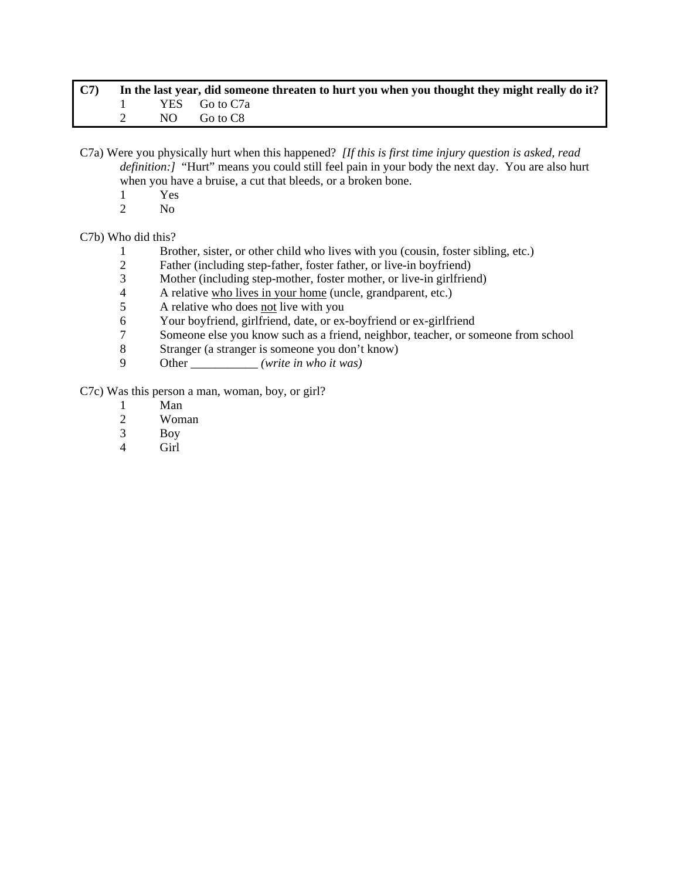| C7 |  | In the last year, did someone threaten to hurt you when you thought they might really do it? |
|----|--|----------------------------------------------------------------------------------------------|
|    |  | YES Go to C7a                                                                                |
|    |  | NO Go to C8                                                                                  |

- C7a) Were you physically hurt when this happened? *[If this is first time injury question is asked, read definition:]* "Hurt" means you could still feel pain in your body the next day. You are also hurt when you have a bruise, a cut that bleeds, or a broken bone.
	- 1 Yes
	- 2 No

C7b) Who did this?

- 1 Brother, sister, or other child who lives with you (cousin, foster sibling, etc.)<br>2 Father (including step-father, foster father, or live-in bovfriend)
- Father (including step-father, foster father, or live-in boyfriend)
- 3 Mother (including step-mother, foster mother, or live-in girlfriend)
- 4 A relative who lives in your home (uncle, grandparent, etc.)
- 5 A relative who does not live with you
- 6 Your boyfriend, girlfriend, date, or ex-boyfriend or ex-girlfriend
- 7 Someone else you know such as a friend, neighbor, teacher, or someone from school
- 8 Stranger (a stranger is someone you don't know)
- 9 Other \_\_\_\_\_\_\_\_\_\_\_ *(write in who it was)*

C7c) Was this person a man, woman, boy, or girl?

- 1 Man
- 2 Woman
- 3 Boy<br>4 Girl
- Girl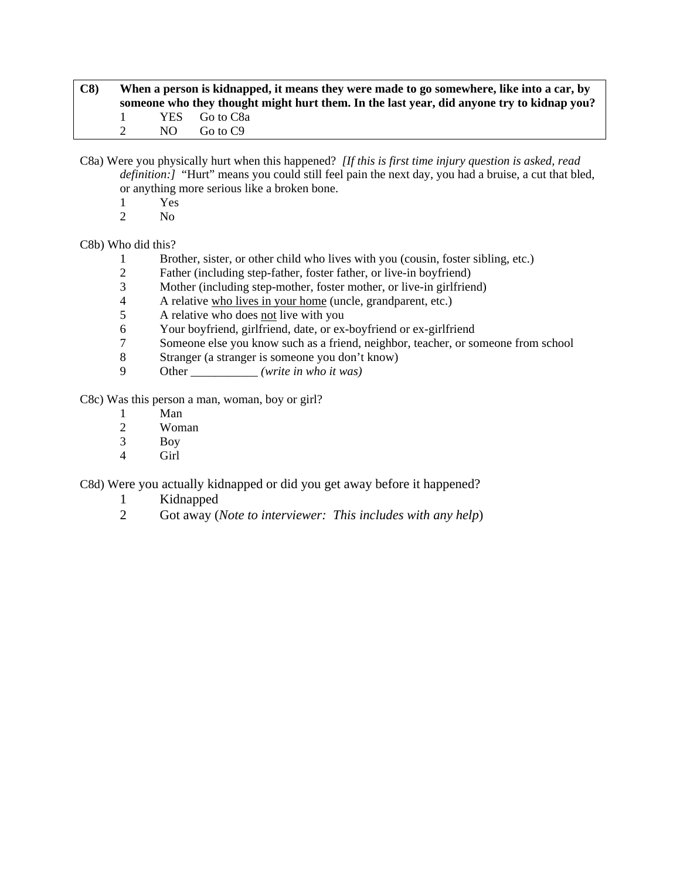| C8 | When a person is kidnapped, it means they were made to go somewhere, like into a car, by |                                                                                           |  |  |  |
|----|------------------------------------------------------------------------------------------|-------------------------------------------------------------------------------------------|--|--|--|
|    |                                                                                          | someone who they thought might hurt them. In the last year, did anyone try to kidnap you? |  |  |  |
|    |                                                                                          | YES Go to C8a                                                                             |  |  |  |
|    | NO.                                                                                      | Go to C9                                                                                  |  |  |  |

C8a) Were you physically hurt when this happened? *[If this is first time injury question is asked, read definition:]* "Hurt" means you could still feel pain the next day, you had a bruise, a cut that bled, or anything more serious like a broken bone.

- $\frac{1}{2}$  Yes
- N<sub>o</sub>

C8b) Who did this?

- 1 Brother, sister, or other child who lives with you (cousin, foster sibling, etc.)
- 2 Father (including step-father, foster father, or live-in boyfriend)
- 3 Mother (including step-mother, foster mother, or live-in girlfriend)<br>4 A relative who lives in your home (uncle, grandparent, etc.)
- 4 A relative who lives in your home (uncle, grandparent, etc.)
- 5 A relative who does not live with you
- 6 Your boyfriend, girlfriend, date, or ex-boyfriend or ex-girlfriend<br>
7 Someone else vou know such as a friend, neighbor, teacher, or so
- 7 Someone else you know such as a friend, neighbor, teacher, or someone from school
- 8 Stranger (a stranger is someone you don't know)
- 9 Other \_\_\_\_\_\_\_\_\_\_\_ *(write in who it was)*

C8c) Was this person a man, woman, boy or girl?

- 1 Man
- 2 Woman<br>3 Boy
- **Boy**
- 4 Girl

C8d) Were you actually kidnapped or did you get away before it happened?

- 1 Kidnapped
- 2 Got away (*Note to interviewer: This includes with any help*)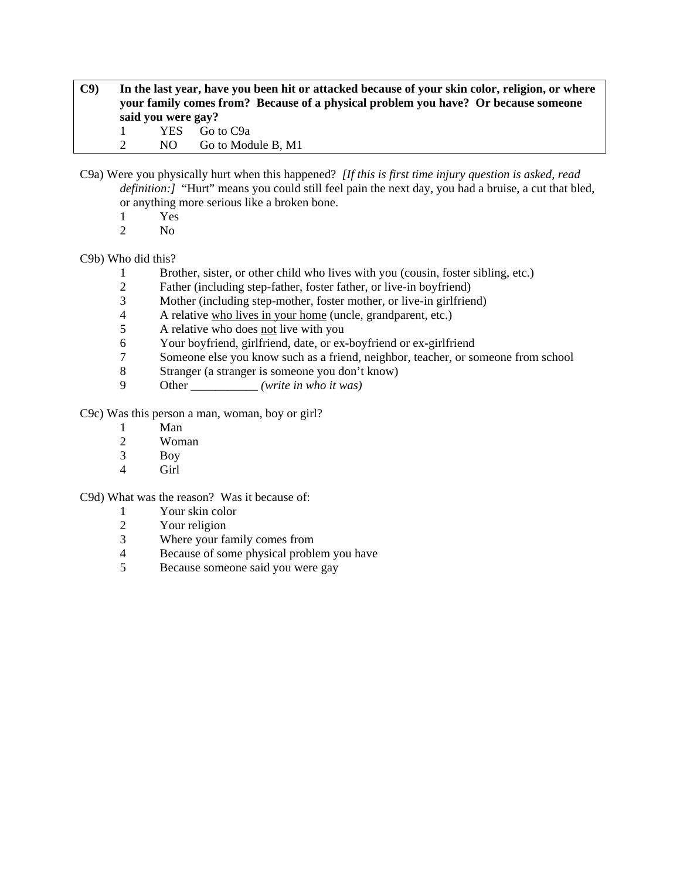**C9) In the last year, have you been hit or attacked because of your skin color, religion, or where your family comes from? Because of a physical problem you have? Or because someone said you were gay?**  1 YES Go to C9a

2 NO Go to Module B, M1

- C9a) Were you physically hurt when this happened? *[If this is first time injury question is asked, read definition:]* "Hurt" means you could still feel pain the next day, you had a bruise, a cut that bled, or anything more serious like a broken bone.
	- 1 Yes
	- 2 No

# C9b) Who did this?

- 1 Brother, sister, or other child who lives with you (cousin, foster sibling, etc.)
- 2 Father (including step-father, foster father, or live-in boyfriend)
- 3 Mother (including step-mother, foster mother, or live-in girlfriend)
- 4 A relative who lives in your home (uncle, grandparent, etc.)
- 5 A relative who does not live with you
- 6 Your boyfriend, girlfriend, date, or ex-boyfriend or ex-girlfriend
- 7 Someone else you know such as a friend, neighbor, teacher, or someone from school
- 8 Stranger (a stranger is someone you don't know)
- 9 Other \_\_\_\_\_\_\_\_\_\_\_ *(write in who it was)*

C9c) Was this person a man, woman, boy or girl?

- 1 Man<br>2 Wom
- Woman
- 3 Boy
- 4 Girl

C9d) What was the reason? Was it because of:

- 1 Your skin color
- 
- 2 Your religion<br>3 Where your fa Where your family comes from
- 4 Because of some physical problem you have
- 5 Because someone said you were gay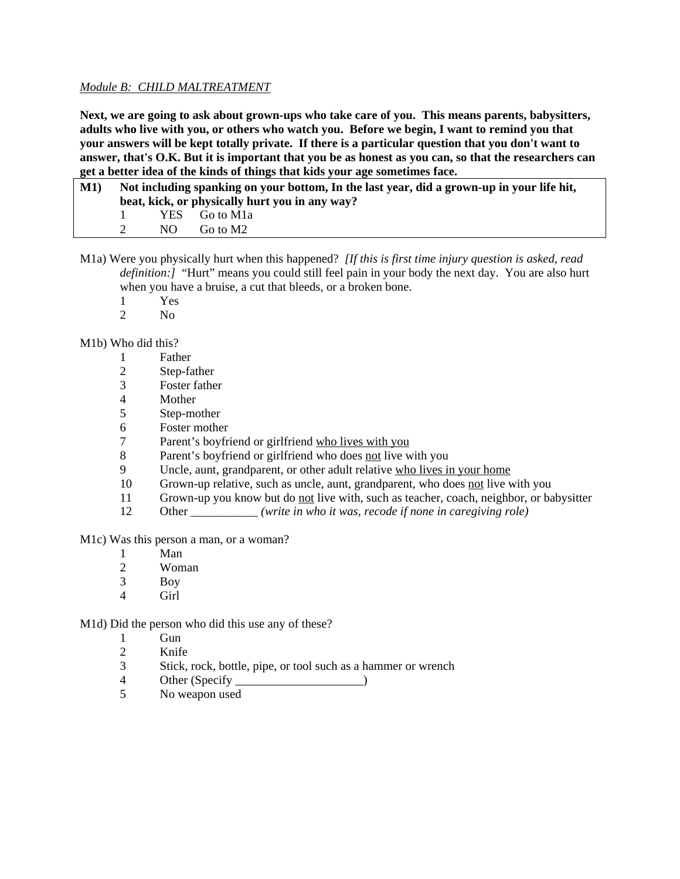## *Module B: CHILD MALTREATMENT*

**Next, we are going to ask about grown-ups who take care of you. This means parents, babysitters, adults who live with you, or others who watch you. Before we begin, I want to remind you that your answers will be kept totally private. If there is a particular question that you don't want to answer, that's O.K. But it is important that you be as honest as you can, so that the researchers can get a better idea of the kinds of things that kids your age sometimes face.** 

| M1) | Not including spanking on your bottom, In the last year, did a grown-up in your life hit,<br>beat, kick, or physically hurt you in any way? |     |                            |
|-----|---------------------------------------------------------------------------------------------------------------------------------------------|-----|----------------------------|
|     |                                                                                                                                             |     | YES Go to M <sub>1</sub> a |
|     |                                                                                                                                             | NO. | Go to M2                   |

M1a) Were you physically hurt when this happened? *[If this is first time injury question is asked, read definition:]* "Hurt" means you could still feel pain in your body the next day. You are also hurt when you have a bruise, a cut that bleeds, or a broken bone.

- 1 Yes
- 2  $N<sub>0</sub>$

M1b) Who did this?

- 1 Father
- 2 Step-father
- 3 Foster father
- 4 Mother
- 5 Step-mother
- 6 Foster mother
- 7 Parent's boyfriend or girlfriend who lives with you
- 8 Parent's boyfriend or girlfriend who does not live with you
- 9 Uncle, aunt, grandparent, or other adult relative who lives in your home
- 10 Grown-up relative, such as uncle, aunt, grandparent, who does not live with you
- 11 Grown-up you know but do not live with, such as teacher, coach, neighbor, or babysitter
- 12 Other \_\_\_\_\_\_\_\_\_\_\_ *(write in who it was, recode if none in caregiving role)*

M1c) Was this person a man, or a woman?

- 1 Man
- 2 Woman
- 3 Boy
- 4 Girl

M1d) Did the person who did this use any of these?

- 1 Gun
- 2 Knife
- 3 Stick, rock, bottle, pipe, or tool such as a hammer or wrench
- 4 Other (Specify )
- 5 No weapon used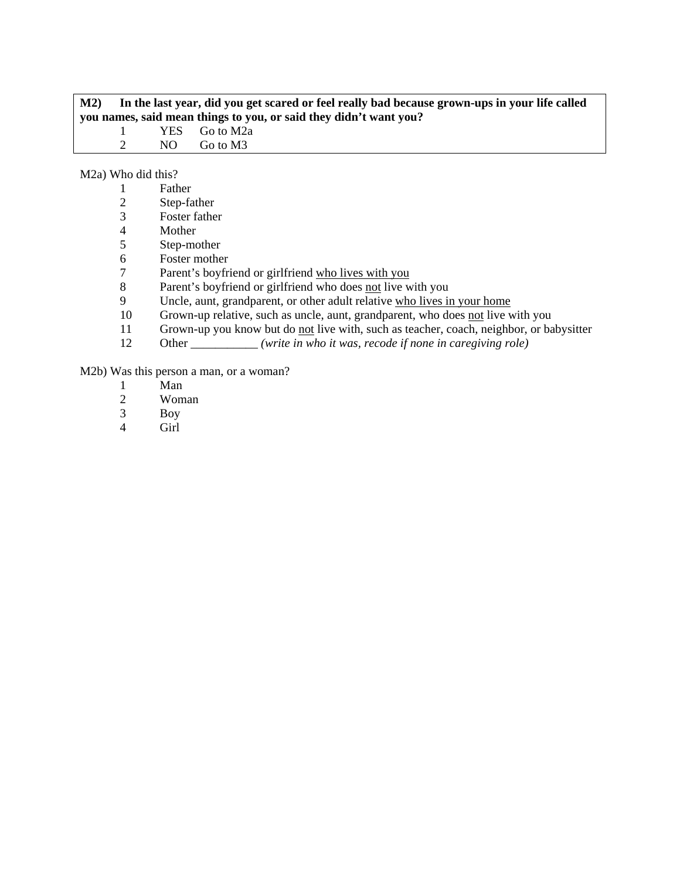# **M2) In the last year, did you get scared or feel really bad because grown-ups in your life called you names, said mean things to you, or said they didn't want you?**<br>1 YES Go to M2a 1 YES Go to M2a 2 NO Go to M3

M2a) Who did this?

| Father      |
|-------------|
| Step-father |

- 2 Step-father<br>3 Foster father
- 
- 4 Mother<br>5 Step-mo Step-mother
- 6 Foster mother
- 7 Parent's boyfriend or girlfriend who lives with you
- 8 Parent's boyfriend or girlfriend who does <u>not</u> live with you<br>9 Uncle, aunt, grandparent, or other adult relative who lives in
- Uncle, aunt, grandparent, or other adult relative who lives in your home
- 10 Grown-up relative, such as uncle, aunt, grandparent, who does not live with you
- 11 Grown-up you know but do <u>not</u> live with, such as teacher, coach, neighbor, or babysitter<br>12 Other *(write in who it was, recode if none in caregiving role)*
- 0ther *(write in who it was, recode if none in caregiving role)*

M2b) Was this person a man, or a woman?

- 1 Man
- 2 Woman<br>3 Boy
- Boy
- 4 Girl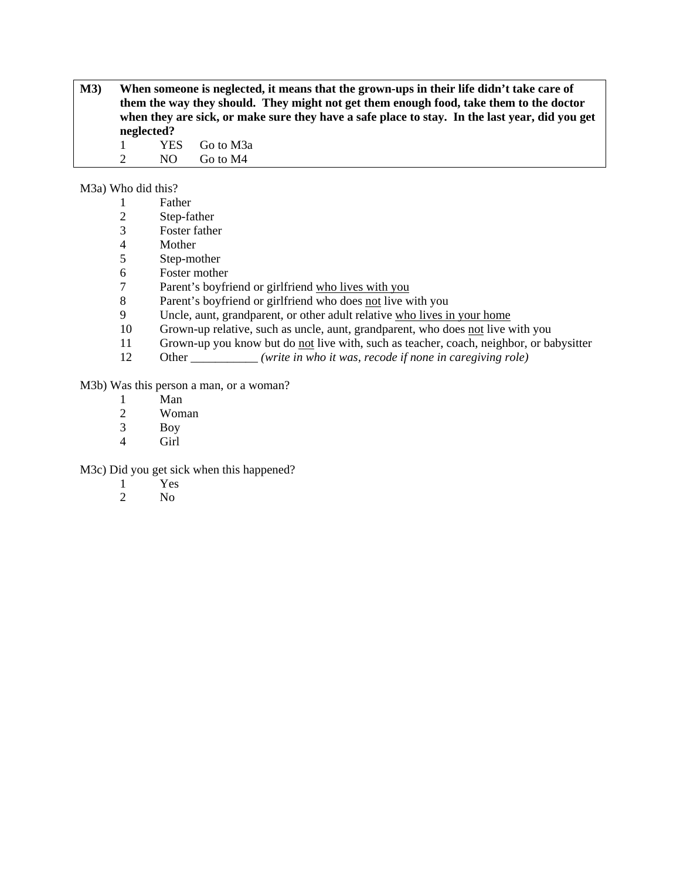**M3) When someone is neglected, it means that the grown-ups in their life didn't take care of them the way they should. They might not get them enough food, take them to the doctor when they are sick, or make sure they have a safe place to stay. In the last year, did you get neglected?** 

1 YES Go to M3a 2 NO Go to M4

M3a) Who did this?

|  | Father |  |
|--|--------|--|
|  |        |  |

- 2 Step-father
- 3 Foster father
- **Mother**
- 5 Step-mother
- 6 Foster mother
- 7 Parent's boyfriend or girlfriend who lives with you
- 8 Parent's boyfriend or girlfriend who does not live with you
- 9 Uncle, aunt, grandparent, or other adult relative who lives in your home
- 10 Grown-up relative, such as uncle, aunt, grandparent, who does not live with you
- 11 Grown-up you know but do not live with, such as teacher, coach, neighbor, or babysitter
- 12 Other *(write in who it was, recode if none in caregiving role)*

M3b) Was this person a man, or a woman?

- 1 Man<br>2 Wom
- Woman
- 3 Boy
- 4 Girl

M3c) Did you get sick when this happened?

- 1 Yes
- 2 No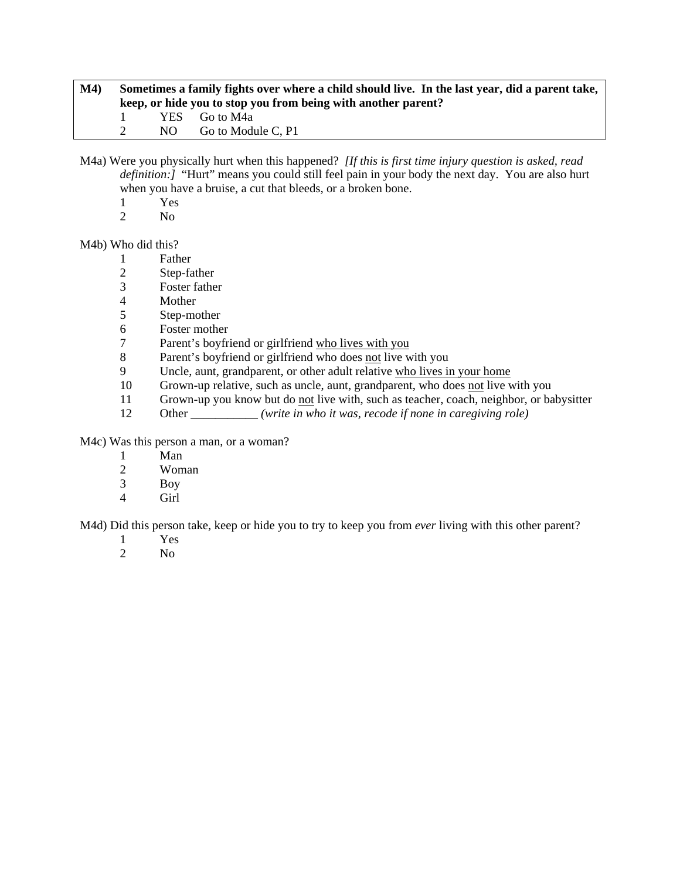| M4) | Sometimes a family fights over where a child should live. In the last year, did a parent take,<br>keep, or hide you to stop you from being with another parent? |  |                         |  |
|-----|-----------------------------------------------------------------------------------------------------------------------------------------------------------------|--|-------------------------|--|
|     |                                                                                                                                                                 |  | YES Go to M4a           |  |
|     |                                                                                                                                                                 |  | $NO$ Go to Module C, P1 |  |

M4a) Were you physically hurt when this happened? *[If this is first time injury question is asked, read definition:]* "Hurt" means you could still feel pain in your body the next day. You are also hurt when you have a bruise, a cut that bleeds, or a broken bone.

- $\frac{1}{2}$  Yes
- N<sub>o</sub>

M4b) Who did this?

- 1 Father
- 2 Step-father
- 3 Foster father
- **Mother**
- 5 Step-mother
- 6 Foster mother<br>7 Parent's boyfri
- Parent's boyfriend or girlfriend who lives with you
- 8 Parent's boyfriend or girlfriend who does not live with you
- 9 Uncle, aunt, grandparent, or other adult relative who lives in your home
- 10 Grown-up relative, such as uncle, aunt, grandparent, who does not live with you
- 11 Grown-up you know but do not live with, such as teacher, coach, neighbor, or babysitter
- 12 Other \_\_\_\_\_\_\_\_\_\_\_ *(write in who it was, recode if none in caregiving role)*

M4c) Was this person a man, or a woman?

- 1 Man
- 2 Woman
- 3 Boy
- 4 Girl

M4d) Did this person take, keep or hide you to try to keep you from *ever* living with this other parent?

- 1 Yes<br>2 No
- N<sub>o</sub>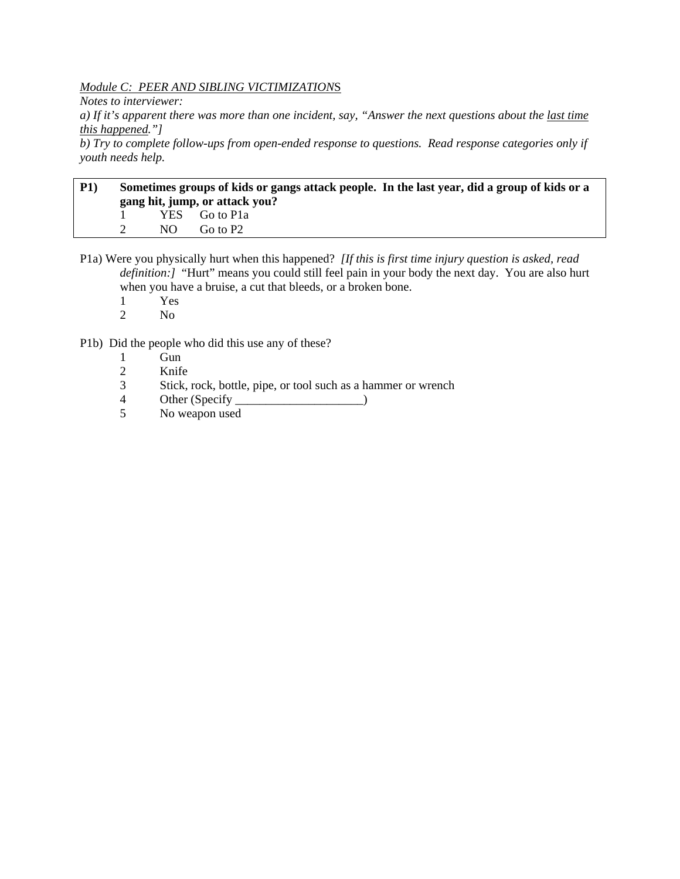## *Module C: PEER AND SIBLING VICTIMIZATION*S

*Notes to interviewer:* 

*a) If it's apparent there was more than one incident, say, "Answer the next questions about the last time this happened."]* 

*b) Try to complete follow-ups from open-ended response to questions. Read response categories only if youth needs help.* 

# **P1) Sometimes groups of kids or gangs attack people. In the last year, did a group of kids or a gang hit, jump, or attack you?**  1 YES Go to P1a 2 NO Go to P2

P1a) Were you physically hurt when this happened? *[If this is first time injury question is asked, read definition:]* "Hurt" means you could still feel pain in your body the next day. You are also hurt when you have a bruise, a cut that bleeds, or a broken bone.

- 1 Yes
- 2 No

P1b) Did the people who did this use any of these?

- 1 Gun
- 2 Knife
- 3 Stick, rock, bottle, pipe, or tool such as a hammer or wrench
- 4 Other (Specify \_\_\_\_\_\_\_\_\_\_\_\_\_\_\_\_\_\_\_\_\_\_\_\_\_\_\_)
- 5 No weapon used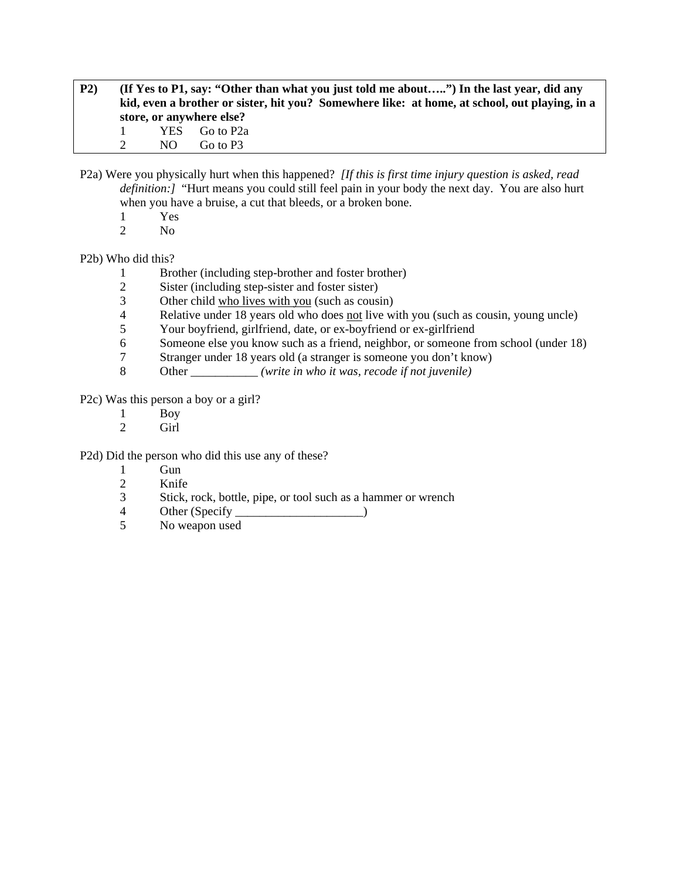- **P2) (If Yes to P1, say: "Other than what you just told me about…..") In the last year, did any kid, even a brother or sister, hit you? Somewhere like: at home, at school, out playing, in a store, or anywhere else?**  1 YES Go to P2a 2 NO Go to P3
- P2a) Were you physically hurt when this happened? *[If this is first time injury question is asked, read definition:]* "Hurt means you could still feel pain in your body the next day. You are also hurt when you have a bruise, a cut that bleeds, or a broken bone.
	- 1 Yes
	- 2 No

# P2b) Who did this?

- 1 Brother (including step-brother and foster brother)
- 2 Sister (including step-sister and foster sister)<br>3 Other child who lives with you (such as cous
- Other child who lives with you (such as cousin)
- 4 Relative under 18 years old who does not live with you (such as cousin, young uncle)
- 5 Your boyfriend, girlfriend, date, or ex-boyfriend or ex-girlfriend
- 6 Someone else you know such as a friend, neighbor, or someone from school (under 18)
- 7 Stranger under 18 years old (a stranger is someone you don't know)
- 8 Other *(write in who it was, recode if not juvenile)*

P2c) Was this person a boy or a girl?

- 1 Boy
- 2 Girl

P2d) Did the person who did this use any of these?

- 1 Gun<br>2 Knife
- 2 Knife
- 3 Stick, rock, bottle, pipe, or tool such as a hammer or wrench
- 4 Other (Specify \_\_\_\_\_\_\_\_\_\_\_\_\_\_\_\_\_\_\_\_\_)
- 5 No weapon used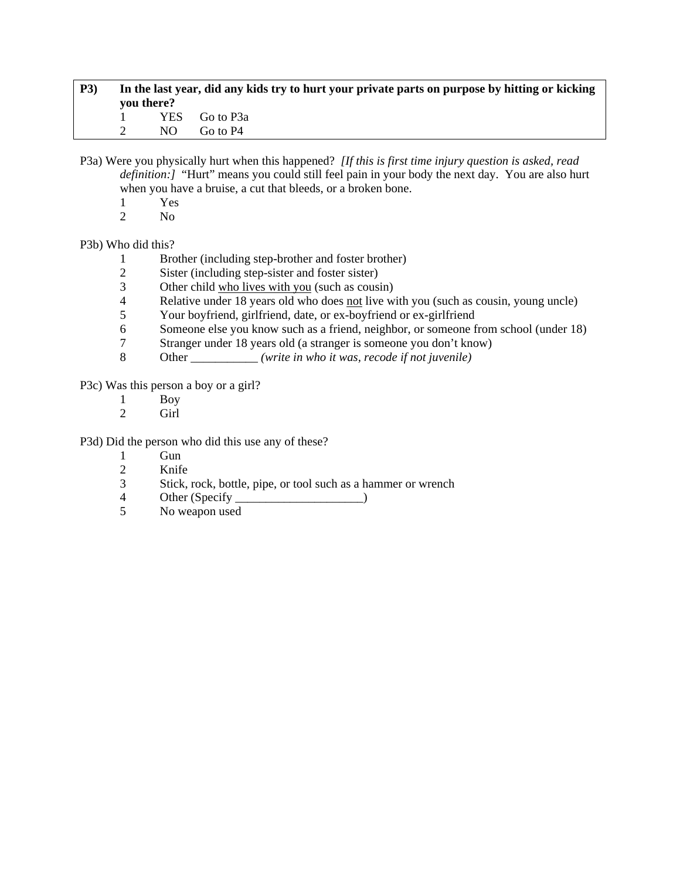| <b>P3</b> ) | In the last year, did any kids try to hurt your private parts on purpose by hitting or kicking<br>you there? |     |               |
|-------------|--------------------------------------------------------------------------------------------------------------|-----|---------------|
|             |                                                                                                              |     | YES Go to P3a |
|             |                                                                                                              | NO. | Go to P4      |

P3a) Were you physically hurt when this happened? *[If this is first time injury question is asked, read definition:]* "Hurt" means you could still feel pain in your body the next day. You are also hurt when you have a bruise, a cut that bleeds, or a broken bone.

- $\frac{1}{2}$  Yes
- N<sub>o</sub>

P3b) Who did this?

- 1 Brother (including step-brother and foster brother)
- 2 Sister (including step-sister and foster sister)
- 3 Other child who lives with you (such as cousin)<br>4 Relative under 18 years old who does not live w
- Relative under 18 years old who does not live with you (such as cousin, young uncle)
- 5 Your boyfriend, girlfriend, date, or ex-boyfriend or ex-girlfriend
- 6 Someone else you know such as a friend, neighbor, or someone from school (under 18)
- 7 Stranger under 18 years old (a stranger is someone you don't know)
- 8 Other \_\_\_\_\_\_\_\_\_\_\_ *(write in who it was, recode if not juvenile)*

P3c) Was this person a boy or a girl?

- $\frac{1}{2}$  Boy
- Girl

P3d) Did the person who did this use any of these?

- 1 Gun
- 2 Knife
- 3 Stick, rock, bottle, pipe, or tool such as a hammer or wrench
- 4 Other (Specify \_\_\_\_\_\_\_\_\_\_\_\_\_\_\_\_\_\_\_\_\_)
- 5 No weapon used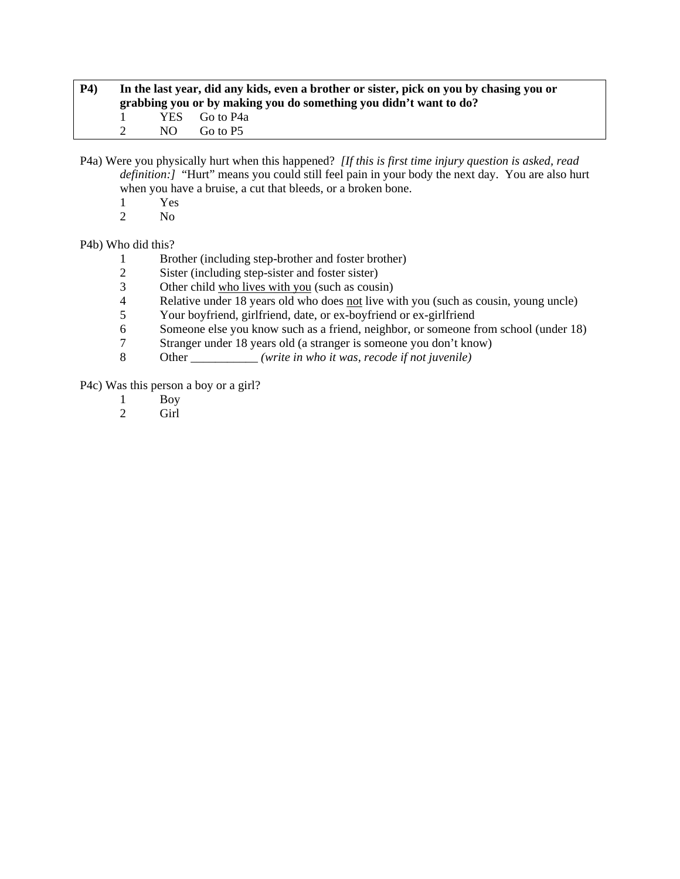| <b>P4</b> ) | In the last year, did any kids, even a brother or sister, pick on you by chasing you or<br>grabbing you or by making you do something you didn't want to do? |     |               |  |
|-------------|--------------------------------------------------------------------------------------------------------------------------------------------------------------|-----|---------------|--|
|             |                                                                                                                                                              |     | YES Go to P4a |  |
|             |                                                                                                                                                              | NO. | Go to P5      |  |

P4a) Were you physically hurt when this happened? *[If this is first time injury question is asked, read definition:]* "Hurt" means you could still feel pain in your body the next day. You are also hurt when you have a bruise, a cut that bleeds, or a broken bone.

- $\frac{1}{2}$  Yes
- N<sub>o</sub>

P4b) Who did this?

- 1 Brother (including step-brother and foster brother)
- 2 Sister (including step-sister and foster sister)
- 3 Other child who lives with you (such as cousin)<br>4 Relative under 18 years old who does not live w
- Relative under 18 years old who does not live with you (such as cousin, young uncle)
- 5 Your boyfriend, girlfriend, date, or ex-boyfriend or ex-girlfriend
- 6 Someone else you know such as a friend, neighbor, or someone from school (under 18)<br>
The Stranger under 18 years old (a stranger is someone you don't know)
- Stranger under 18 years old (a stranger is someone you don't know)
- 8 Other \_\_\_\_\_\_\_\_\_\_\_ *(write in who it was, recode if not juvenile)*

P4c) Was this person a boy or a girl?

- 1 Boy<br>2 Girl
- Girl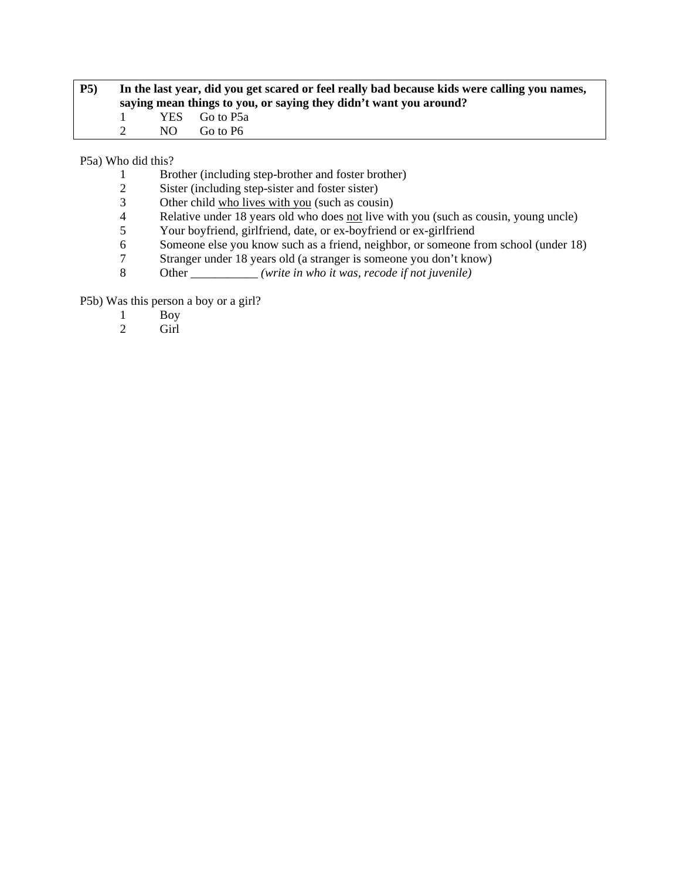| <b>P5</b> ) | In the last year, did you get scared or feel really bad because kids were calling you names,<br>saying mean things to you, or saying they didn't want you around? |     |               |  |
|-------------|-------------------------------------------------------------------------------------------------------------------------------------------------------------------|-----|---------------|--|
|             | $\mathbf{I}$                                                                                                                                                      |     | YES Go to P5a |  |
|             |                                                                                                                                                                   | NO. | Go to P6      |  |

P5a) Who did this?

- 1 Brother (including step-brother and foster brother)
- 2 Sister (including step-sister and foster sister)<br>3 Other child who lives with you (such as cousi
- 3 Other child who lives with you (such as cousin)<br>4 Relative under 18 years old who does not live w
- Relative under 18 years old who does <u>not</u> live with you (such as cousin, young uncle)<br>
Your boyfriend, girlfriend, date, or ex-boyfriend or ex-girlfriend
- 5 Your boyfriend, girlfriend, date, or ex-boyfriend or ex-girlfriend<br>6 Someone else you know such as a friend, neighbor, or someone f
- Someone else you know such as a friend, neighbor, or someone from school (under 18)
- 7 Stranger under 18 years old (a stranger is someone you don't know)
- 8 Other \_\_\_\_\_\_\_\_\_\_\_ *(write in who it was, recode if not juvenile)*

P5b) Was this person a boy or a girl?

- 1 Boy<br>2 Girl
- Girl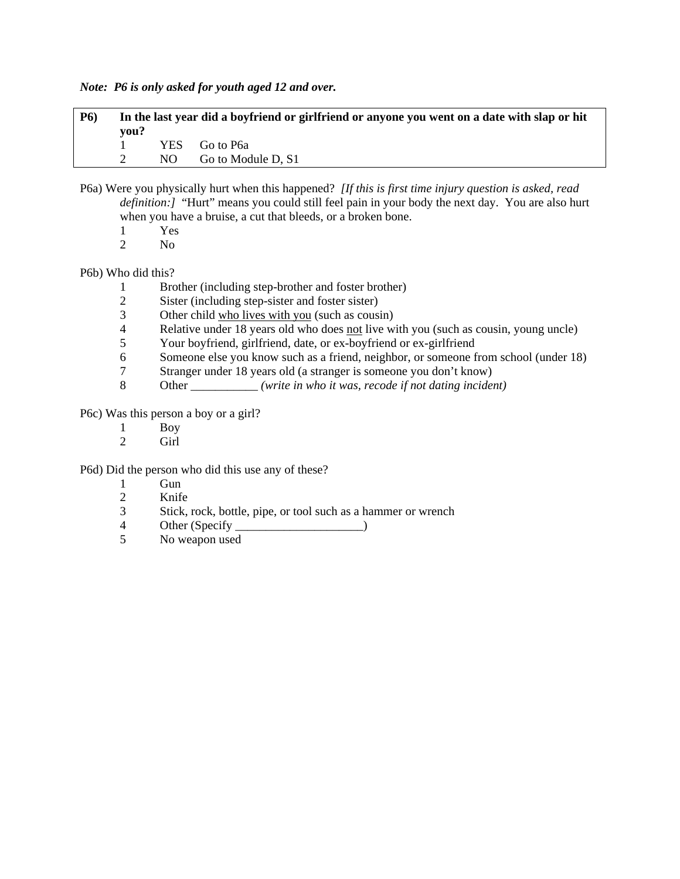*Note: P6 is only asked for youth aged 12 and over.* 

| <b>P6</b> ) | vou? | In the last year did a boyfriend or girlfriend or anyone you went on a date with slap or hit |
|-------------|------|----------------------------------------------------------------------------------------------|
|             |      | YES Go to P6a                                                                                |
|             |      | NO Go to Module D, S1                                                                        |

- P6a) Were you physically hurt when this happened? *[If this is first time injury question is asked, read definition:* [ "Hurt" means you could still feel pain in your body the next day. You are also hurt when you have a bruise, a cut that bleeds, or a broken bone.
	- 1 Yes<br>2 No
	- N<sub>o</sub>

P6b) Who did this?

- 1 Brother (including step-brother and foster brother)<br>2 Sister (including step-sister and foster sister)
- Sister (including step-sister and foster sister)
- 3 Other child who lives with you (such as cousin)
- 4 Relative under 18 years old who does <u>not</u> live with you (such as cousin, young uncle)<br>5 Your boyfriend, girlfriend, date, or ex-boyfriend or ex-girlfriend
- 5 Your boyfriend, girlfriend, date, or ex-boyfriend or ex-girlfriend
- 6 Someone else you know such as a friend, neighbor, or someone from school (under 18)
- 7 Stranger under 18 years old (a stranger is someone you don't know)
- 8 Other \_\_\_\_\_\_\_\_\_\_\_ *(write in who it was, recode if not dating incident)*

P6c) Was this person a boy or a girl?

- 1 Boy<br>2 Girl
- Girl

P6d) Did the person who did this use any of these?

- 1 Gun
- 2 Knife
- 3 Stick, rock, bottle, pipe, or tool such as a hammer or wrench
- 4 Other (Specify )
- 5 No weapon used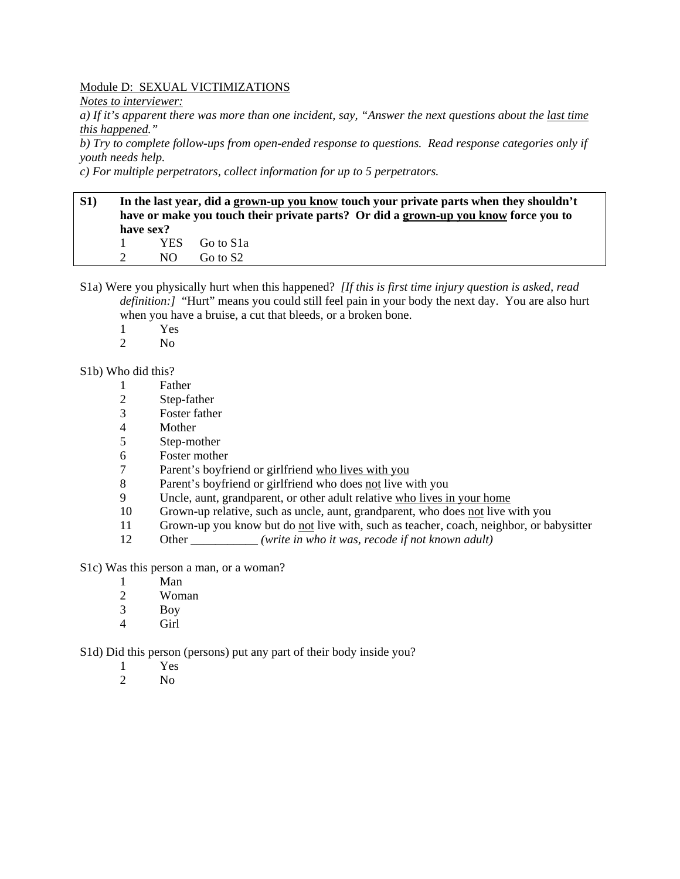#### Module D: SEXUAL VICTIMIZATIONS

*Notes to interviewer:* 

*a) If it's apparent there was more than one incident, say, "Answer the next questions about the last time this happened."* 

*b) Try to complete follow-ups from open-ended response to questions. Read response categories only if youth needs help.* 

*c) For multiple perpetrators, collect information for up to 5 perpetrators.* 

## **S1) In the last year, did a grown-up you know touch your private parts when they shouldn't have or make you touch their private parts? Or did a grown-up you know force you to have sex?**  1 YES Go to S1a 2 NO Go to S2

- S1a) Were you physically hurt when this happened? *[If this is first time injury question is asked, read definition:]* "Hurt" means you could still feel pain in your body the next day. You are also hurt when you have a bruise, a cut that bleeds, or a broken bone.
	- 1 Yes<br>2 No
	- N<sub>o</sub>

#### S1b) Who did this?

- 1 Father
- 2 Step-father
- 3 Foster father
- 4 Mother
- 5 Step-mother
- 6 Foster mother
- 7 Parent's boyfriend or girlfriend who lives with you
- 8 Parent's boyfriend or girlfriend who does not live with you
- 9 Uncle, aunt, grandparent, or other adult relative who lives in your home
- 10 Grown-up relative, such as uncle, aunt, grandparent, who does not live with you
- 11 Grown-up you know but do not live with, such as teacher, coach, neighbor, or babysitter
- 12 Other *(write in who it was, recode if not known adult)*
- S1c) Was this person a man, or a woman?
	- 1 Man
	- 2 Woman
	- 3 Boy
	- 4 Girl

S1d) Did this person (persons) put any part of their body inside you?

- 1 Yes
- 2  $N<sub>0</sub>$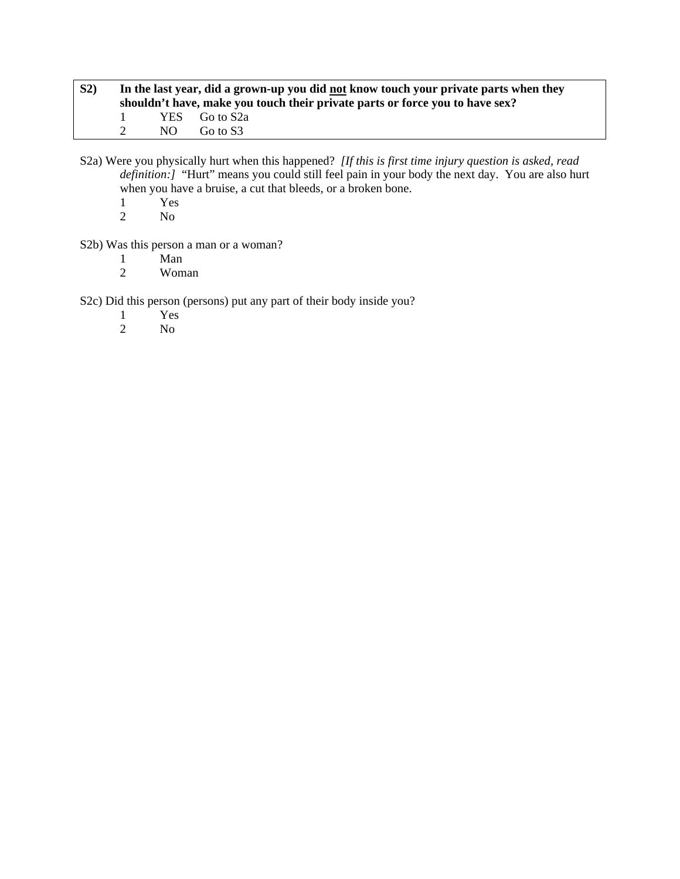| S <sub>2</sub> |        |       | In the last year, did a grown-up you did not know touch your private parts when they<br>shouldn't have, make you touch their private parts or force you to have sex? |
|----------------|--------|-------|----------------------------------------------------------------------------------------------------------------------------------------------------------------------|
|                | - 12 - |       | YES Go to S2a                                                                                                                                                        |
|                |        | NO 11 | Go to S3                                                                                                                                                             |

S2a) Were you physically hurt when this happened? *[If this is first time injury question is asked, read definition:]* "Hurt" means you could still feel pain in your body the next day. You are also hurt when you have a bruise, a cut that bleeds, or a broken bone.

- $\frac{1}{2}$  Yes
- N<sub>o</sub>

S2b) Was this person a man or a woman?

- 1 Man<br>2 Wom
- 2 Woman

S2c) Did this person (persons) put any part of their body inside you?

- 1 Yes<br>2 No
- No.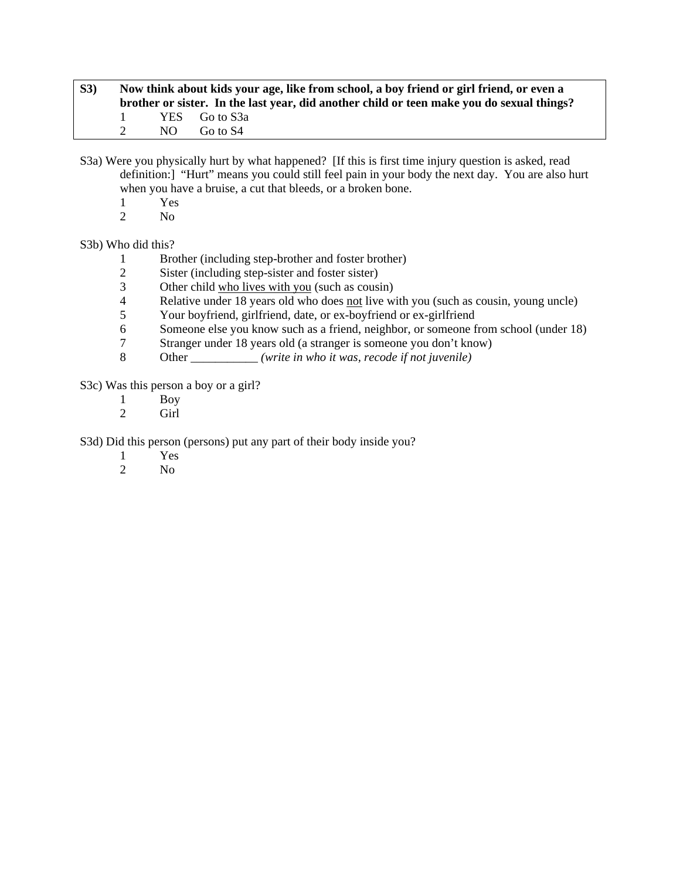| S3) |               | Now think about kids your age, like from school, a boy friend or girl friend, or even a |                                                                                           |  |  |  |  |
|-----|---------------|-----------------------------------------------------------------------------------------|-------------------------------------------------------------------------------------------|--|--|--|--|
|     |               |                                                                                         | brother or sister. In the last year, did another child or teen make you do sexual things? |  |  |  |  |
|     | $\mathbf{1}$  |                                                                                         | YES Go to S3a                                                                             |  |  |  |  |
|     | $\mathcal{L}$ | NO.                                                                                     | Go to S4                                                                                  |  |  |  |  |

S3a) Were you physically hurt by what happened? [If this is first time injury question is asked, read definition:] "Hurt" means you could still feel pain in your body the next day. You are also hurt when you have a bruise, a cut that bleeds, or a broken bone.

- $\frac{1}{2}$  Yes
- N<sub>o</sub>

S3b) Who did this?

- 1 Brother (including step-brother and foster brother)
- 2 Sister (including step-sister and foster sister)
- 3 Other child who lives with you (such as cousin)<br>4 Relative under 18 years old who does not live w
- Relative under 18 years old who does not live with you (such as cousin, young uncle)
- 5 Your boyfriend, girlfriend, date, or ex-boyfriend or ex-girlfriend
- 6 Someone else you know such as a friend, neighbor, or someone from school (under 18)<br>
The Stranger under 18 years old (a stranger is someone you don't know)
- Stranger under 18 years old (a stranger is someone you don't know)
- 8 Other \_\_\_\_\_\_\_\_\_\_\_ *(write in who it was, recode if not juvenile)*

S3c) Was this person a boy or a girl?

- 1 Boy<br>2 Girl
- Girl

S3d) Did this person (persons) put any part of their body inside you?

- 1 Yes
- 2 No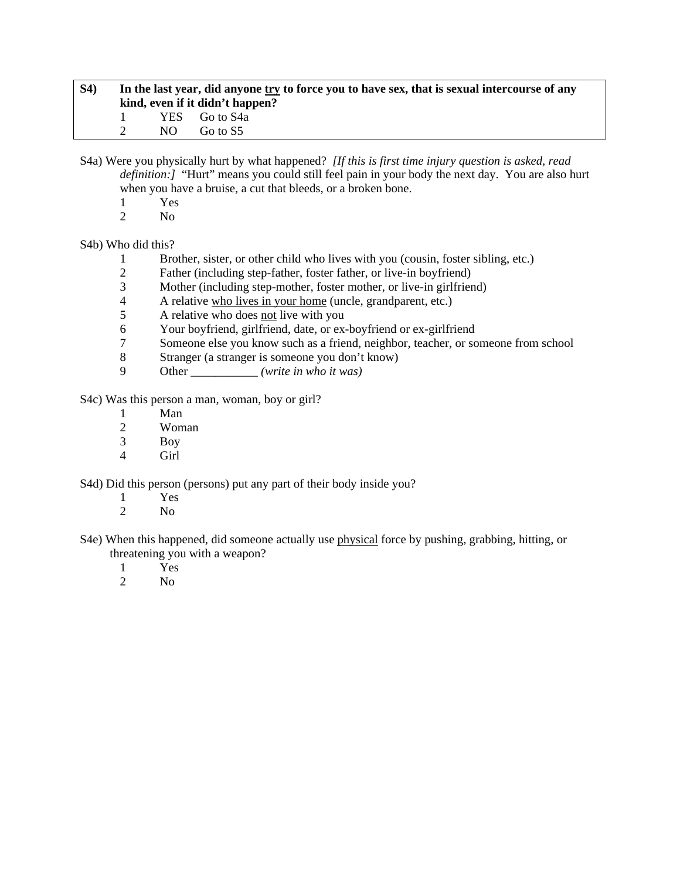| <b>S4</b> ) | In the last year, did anyone try to force you to have sex, that is sexual intercourse of any |                                 |  |  |  |
|-------------|----------------------------------------------------------------------------------------------|---------------------------------|--|--|--|
|             |                                                                                              | kind, even if it didn't happen? |  |  |  |
|             |                                                                                              | YES Go to S4a                   |  |  |  |
|             | NO.                                                                                          | Go to S5                        |  |  |  |

S4a) Were you physically hurt by what happened? *[If this is first time injury question is asked, read definition:]* "Hurt" means you could still feel pain in your body the next day. You are also hurt when you have a bruise, a cut that bleeds, or a broken bone.

- $\frac{1}{2}$  Yes
- $N<sub>0</sub>$

S4b) Who did this?

- 1 Brother, sister, or other child who lives with you (cousin, foster sibling, etc.)
- 2 Father (including step-father, foster father, or live-in boyfriend)
- 3 Mother (including step-mother, foster mother, or live-in girlfriend)<br>4 A relative who lives in your home (uncle, grandparent, etc.)
- 4 A relative who lives in your home (uncle, grandparent, etc.)
- 5 A relative who does not live with you
- 6 Your boyfriend, girlfriend, date, or ex-boyfriend or ex-girlfriend<br>
7 Someone else vou know such as a friend, neighbor, teacher, or so
- 7 Someone else you know such as a friend, neighbor, teacher, or someone from school
- 8 Stranger (a stranger is someone you don't know)
- 9 Other \_\_\_\_\_\_\_\_\_\_\_ *(write in who it was)*

S4c) Was this person a man, woman, boy or girl?

- 1 Man
- 2 Woman<br>3 Boy
- **Boy**
- 4 Girl

S4d) Did this person (persons) put any part of their body inside you?

- 1 Yes
- 2  $N<sub>0</sub>$
- S4e) When this happened, did someone actually use physical force by pushing, grabbing, hitting, or threatening you with a weapon?
	- 1 Yes
	- 2 No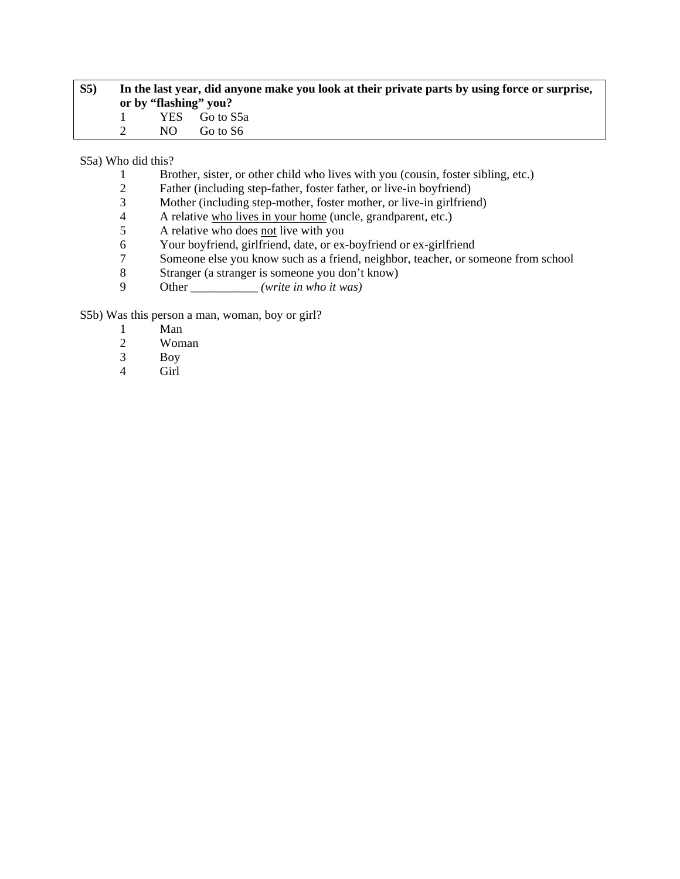| S <sub>5</sub> | In the last year, did anyone make you look at their private parts by using force or surprise, |     |                       |  |
|----------------|-----------------------------------------------------------------------------------------------|-----|-----------------------|--|
|                |                                                                                               |     | or by "flashing" you? |  |
|                |                                                                                               |     | YES Go to S5a         |  |
|                |                                                                                               | NO. | Go to S6              |  |

S5a) Who did this?

- 1 Brother, sister, or other child who lives with you (cousin, foster sibling, etc.)
- 2 Father (including step-father, foster father, or live-in boyfriend)<br>3 Mother (including step-mother, foster mother, or live-in girlfrien
- 3 Mother (including step-mother, foster mother, or live-in girlfriend)<br>4 A relative who lives in your home (uncle, grandparent, etc.)
- 4 A relative who lives in your home (uncle, grandparent, etc.)<br>5 A relative who does not live with you
- 5 A relative who does <u>not</u> live with you<br>6 Your boyfriend, girlfriend, date, or ex-
- Your boyfriend, girlfriend, date, or ex-boyfriend or ex-girlfriend
- 7 Someone else you know such as a friend, neighbor, teacher, or someone from school
- 8 Stranger (a stranger is someone you don't know)
- 9 Other \_\_\_\_\_\_\_\_\_\_\_ *(write in who it was)*

S5b) Was this person a man, woman, boy or girl?

- 1 Man<br>2 Wom
- 2 Woman<br>3 Boy
- Boy
- 4 Girl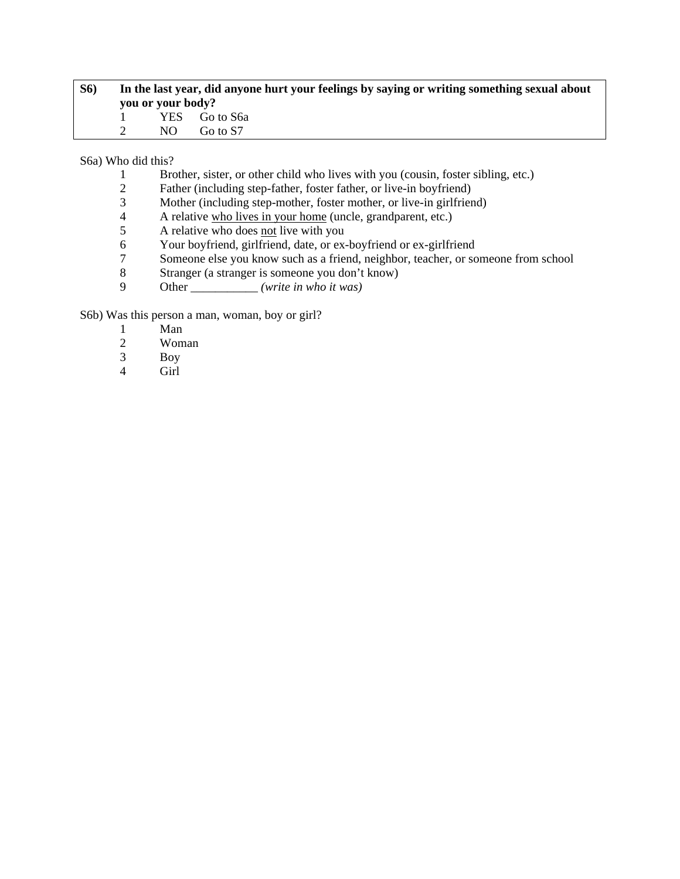| <b>S6</b> ) | you or your body? | In the last year, did anyone hurt your feelings by saying or writing something sexual about |
|-------------|-------------------|---------------------------------------------------------------------------------------------|
|             |                   | YES Go to S6a                                                                               |
|             | NO.               | Go to S7                                                                                    |

S6a) Who did this?

- 1 Brother, sister, or other child who lives with you (cousin, foster sibling, etc.)
- 2 Father (including step-father, foster father, or live-in boyfriend)<br>3 Mother (including step-mother, foster mother, or live-in girlfrien
- 3 Mother (including step-mother, foster mother, or live-in girlfriend)<br>4 A relative who lives in your home (uncle, grandparent, etc.)
- 4 A relative who lives in your home (uncle, grandparent, etc.)<br>5 A relative who does not live with you
- 5 A relative who does <u>not</u> live with you<br>6 Your boyfriend, girlfriend, date, or ex-
- Your boyfriend, girlfriend, date, or ex-boyfriend or ex-girlfriend
- 7 Someone else you know such as a friend, neighbor, teacher, or someone from school
- 8 Stranger (a stranger is someone you don't know)
- 9 Other \_\_\_\_\_\_\_\_\_\_\_ *(write in who it was)*

S6b) Was this person a man, woman, boy or girl?

- 1 Man<br>2 Wom
- 2 Woman<br>3 Boy
- Boy
- 4 Girl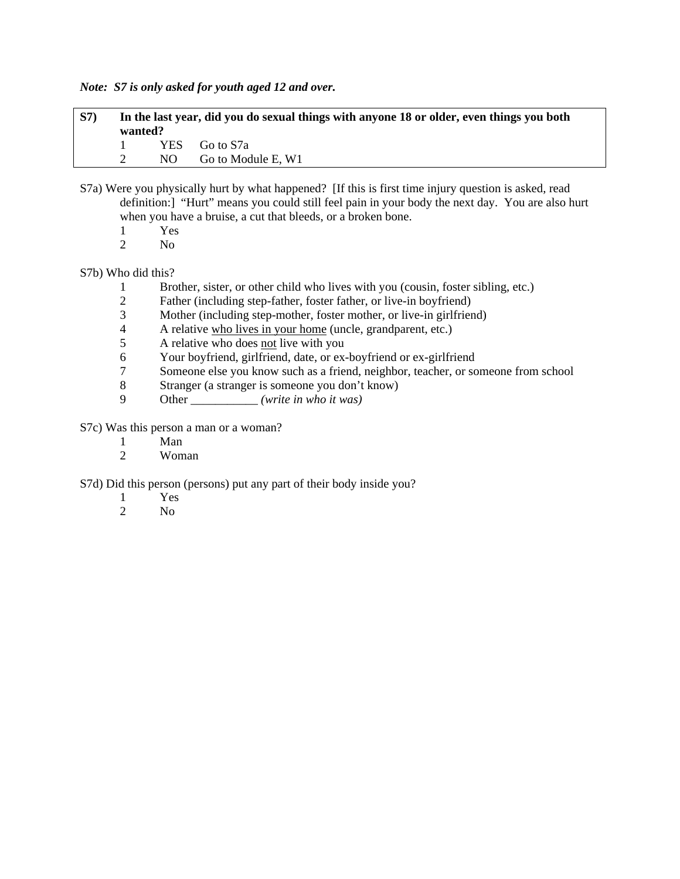*Note: S7 is only asked for youth aged 12 and over.* 

| <b>S7</b> ) | wanted? | In the last year, did you do sexual things with anyone 18 or older, even things you both |
|-------------|---------|------------------------------------------------------------------------------------------|
|             |         | YES Go to S7a                                                                            |
|             |         | NO Go to Module E, W1                                                                    |

- S7a) Were you physically hurt by what happened? [If this is first time injury question is asked, read definition:] "Hurt" means you could still feel pain in your body the next day. You are also hurt when you have a bruise, a cut that bleeds, or a broken bone.
	- 1 Yes<br>2 No
	- No.

# S7b) Who did this?

- 1 Brother, sister, or other child who lives with you (cousin, foster sibling, etc.)<br>2 Father (including step-father, foster father, or live-in bovfriend)
- Father (including step-father, foster father, or live-in boyfriend)
- 3 Mother (including step-mother, foster mother, or live-in girlfriend)
- 4 A relative who lives in your home (uncle, grandparent, etc.)<br>5 A relative who does not live with you
- 5 A relative who does not live with you
- 6 Your boyfriend, girlfriend, date, or ex-boyfriend or ex-girlfriend
- 7 Someone else you know such as a friend, neighbor, teacher, or someone from school
- 8 Stranger (a stranger is someone you don't know)
- 9 Other \_\_\_\_\_\_\_\_\_\_\_ *(write in who it was)*

S7c) Was this person a man or a woman?

- 1 Man
- 2 Woman

S7d) Did this person (persons) put any part of their body inside you?

- 1 Yes
- 2 No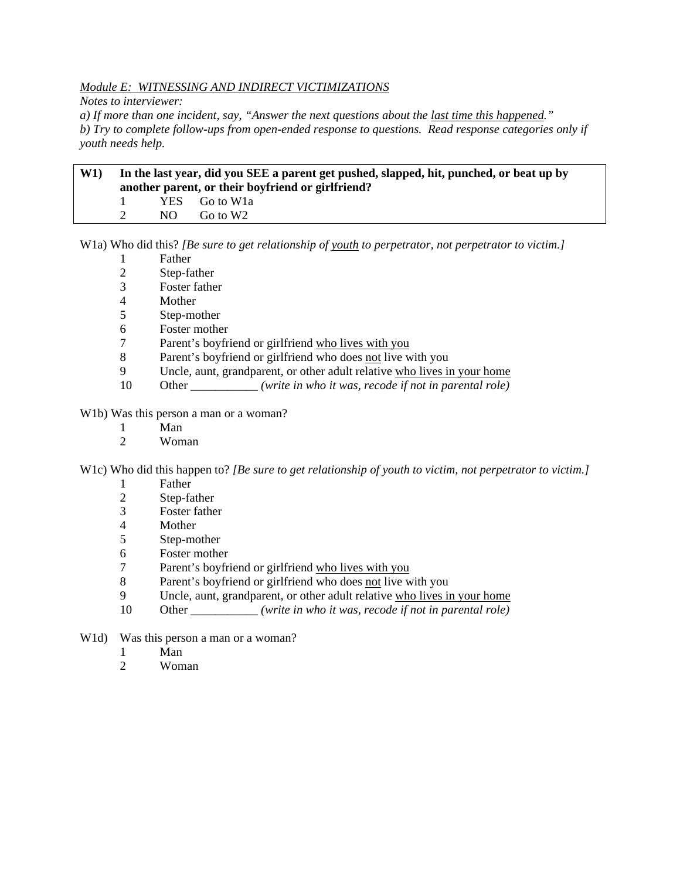# *Module E: WITNESSING AND INDIRECT VICTIMIZATIONS*

*Notes to interviewer:* 

*a) If more than one incident, say, "Answer the next questions about the last time this happened." b) Try to complete follow-ups from open-ended response to questions. Read response categories only if youth needs help.* 

| W1 | In the last year, did you SEE a parent get pushed, slapped, hit, punched, or beat up by<br>another parent, or their boyfriend or girlfriend? |     |                          |  |
|----|----------------------------------------------------------------------------------------------------------------------------------------------|-----|--------------------------|--|
|    |                                                                                                                                              |     | YES Go to W <sub>1</sub> |  |
|    |                                                                                                                                              | NO. | Go to W2                 |  |

W1a) Who did this? *[Be sure to get relationship of youth to perpetrator, not perpetrator to victim.]*

- 1 Father
- 2 Step-father
- 3 Foster father
- 4 Mother
- 5 Step-mother
- 6 Foster mother
- 7 Parent's boyfriend or girlfriend who lives with you
- 8 Parent's boyfriend or girlfriend who does not live with you
- 9 Uncle, aunt, grandparent, or other adult relative who lives in your home
- 10 Other \_\_\_\_\_\_\_\_\_\_\_ *(write in who it was, recode if not in parental role)*

W1b) Was this person a man or a woman?

- 1 Man<br>2 Wom
- Woman

W1c) Who did this happen to? *[Be sure to get relationship of youth to victim, not perpetrator to victim.]*

- 1 Father
- 2 Step-father
- 3 Foster father
- 4 Mother
- 5 Step-mother
- 6 Foster mother
- 7 Parent's boyfriend or girlfriend who lives with you
- 8 Parent's boyfriend or girlfriend who does not live with you
- 9 Uncle, aunt, grandparent, or other adult relative who lives in your home
- 10 Other \_\_\_\_\_\_\_\_\_\_\_ *(write in who it was, recode if not in parental role)*
- W<sub>1</sub>d) Was this person a man or a woman?
	- 1 Man
	- 2 Woman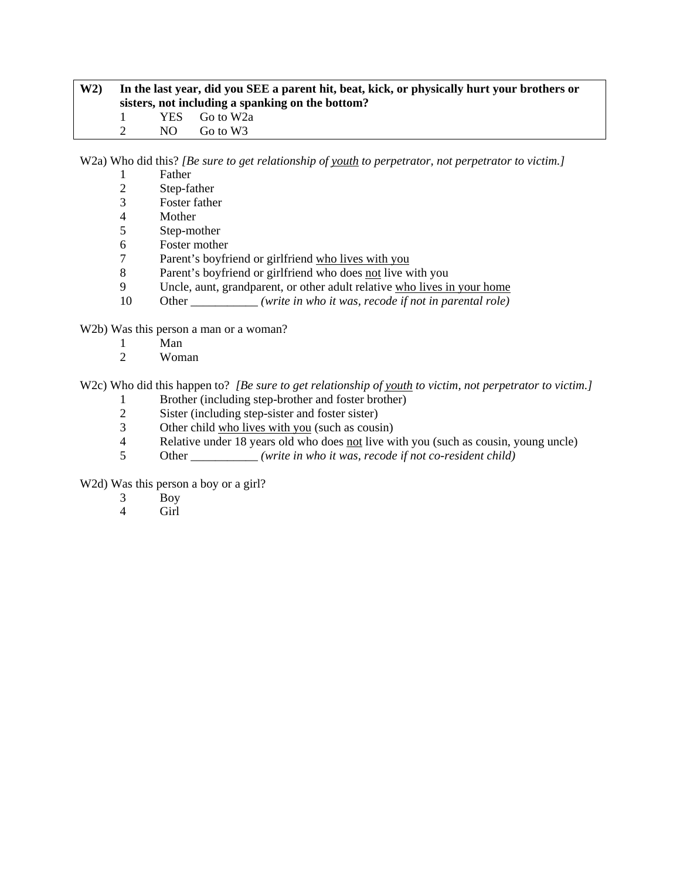# **W2) In the last year, did you SEE a parent hit, beat, kick, or physically hurt your brothers or sisters, not including a spanking on the bottom?**  1 YES Go to W2a<br>2 NO Go to W3 NO Go to W3

W2a) Who did this? *[Be sure to get relationship of youth to perpetrator, not perpetrator to victim.]*

- 1 Father
- 2 Step-father<br>3 Foster fathe
- Foster father
- 4 Mother
- 5 Step-mother
- 6 Foster mother
- 7 Parent's boyfriend or girlfriend who lives with you
- 8 Parent's boyfriend or girlfriend who does not live with you
- 9 Uncle, aunt, grandparent, or other adult relative who lives in your home
- 10 Other *(write in who it was, recode if not in parental role)*

W2b) Was this person a man or a woman?

- 1 Man
- 2 Woman

W2c) Who did this happen to? *[Be sure to get relationship of youth to victim, not perpetrator to victim.]* 

- 1 Brother (including step-brother and foster brother)<br>2 Sister (including step-sister and foster sister)
- Sister (including step-sister and foster sister)
- 3 Other child who lives with you (such as cousin)<br>4 Relative under 18 years old who does not live w.
- Relative under 18 years old who does not live with you (such as cousin, young uncle)
- 5 Other \_\_\_\_\_\_\_\_\_\_\_ *(write in who it was, recode if not co-resident child)*

W<sub>2</sub>d) Was this person a boy or a girl?

- 3 Boy
- 4 Girl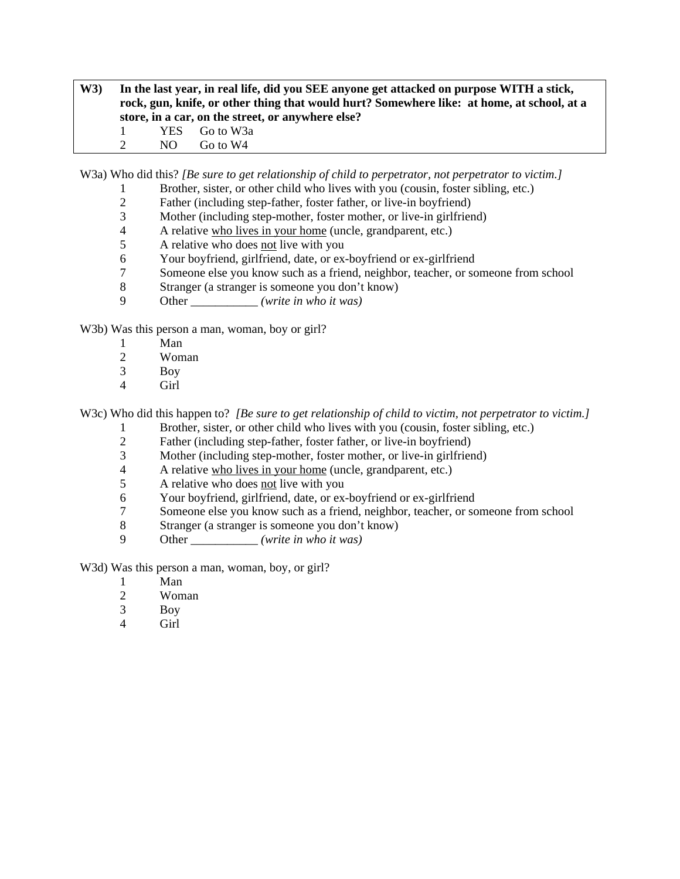**W3) In the last year, in real life, did you SEE anyone get attacked on purpose WITH a stick, rock, gun, knife, or other thing that would hurt? Somewhere like: at home, at school, at a store, in a car, on the street, or anywhere else?**  1 YES Go to W3a 2 NO Go to W4

W3a) Who did this? *[Be sure to get relationship of child to perpetrator, not perpetrator to victim.]*

- 1 Brother, sister, or other child who lives with you (cousin, foster sibling, etc.)<br>2 Father (including step-father, foster father, or live-in bovfriend)
- 2 Father (including step-father, foster father, or live-in boyfriend)<br>3 Mother (including step-mother, foster mother, or live-in girlfrien
- Mother (including step-mother, foster mother, or live-in girlfriend)
- 4 A relative who lives in your home (uncle, grandparent, etc.)
- 5 A relative who does not live with you
- 6 Your boyfriend, girlfriend, date, or ex-boyfriend or ex-girlfriend
- 7 Someone else you know such as a friend, neighbor, teacher, or someone from school
- 8 Stranger (a stranger is someone you don't know)
- 9 Other \_\_\_\_\_\_\_\_\_\_\_ *(write in who it was)*

W3b) Was this person a man, woman, boy or girl?

- 1 Man
- 2 Woman
- 3 Boy
- 4 Girl

W3c) Who did this happen to? *[Be sure to get relationship of child to victim, not perpetrator to victim.]* 

- 1 Brother, sister, or other child who lives with you (cousin, foster sibling, etc.)
- 2 Father (including step-father, foster father, or live-in boyfriend)
- 3 Mother (including step-mother, foster mother, or live-in girlfriend)
- 4 A relative who lives in your home (uncle, grandparent, etc.)
- 5 A relative who does not live with you
- 6 Your boyfriend, girlfriend, date, or ex-boyfriend or ex-girlfriend
- 7 Someone else you know such as a friend, neighbor, teacher, or someone from school
- 8 Stranger (a stranger is someone you don't know)
- 9 Other \_\_\_\_\_\_\_\_\_\_\_ *(write in who it was)*

W3d) Was this person a man, woman, boy, or girl?

- 1 Man
- 2 Woman
- 3 Boy
- 4 Girl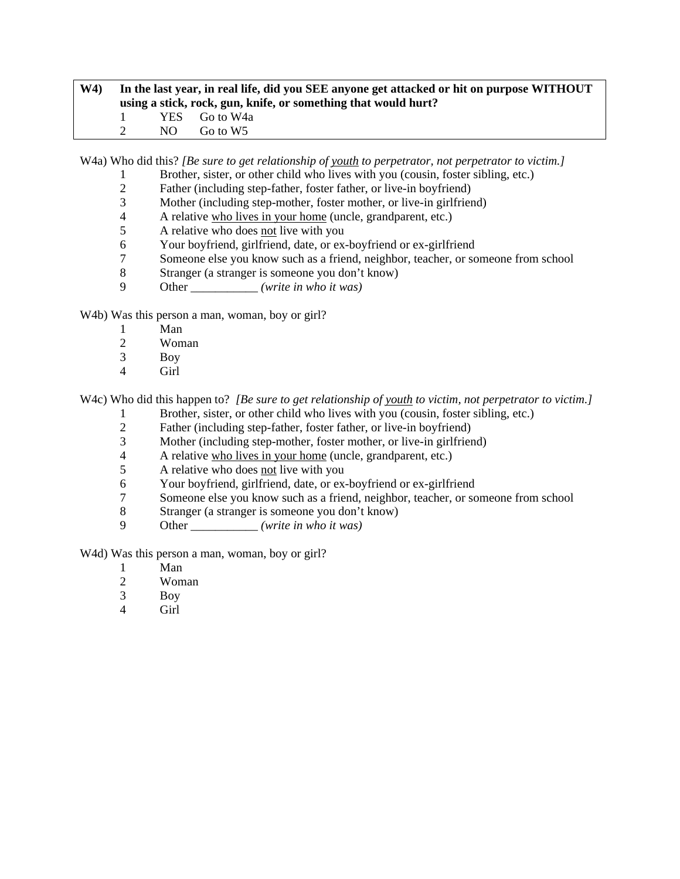# **W4) In the last year, in real life, did you SEE anyone get attacked or hit on purpose WITHOUT using a stick, rock, gun, knife, or something that would hurt?**  1 YES Go to W4a 2 NO Go to W5

W4a) Who did this? *[Be sure to get relationship of youth to perpetrator, not perpetrator to victim.]* 

- 1 Brother, sister, or other child who lives with you (cousin, foster sibling, etc.)
- 2 Father (including step-father, foster father, or live-in boyfriend)<br>3 Mother (including step-mother, foster mother, or live-in girlfrien
- Mother (including step-mother, foster mother, or live-in girlfriend)
- 4 A relative who lives in your home (uncle, grandparent, etc.)
- 5 A relative who does not live with you
- 6 Your boyfriend, girlfriend, date, or ex-boyfriend or ex-girlfriend
- 7 Someone else you know such as a friend, neighbor, teacher, or someone from school
- 8 Stranger (a stranger is someone you don't know)
- 9 Other \_\_\_\_\_\_\_\_\_\_\_ *(write in who it was)*

W<sub>4</sub>b) Was this person a man, woman, boy or girl?

- 1 Man<br>2 Wom
- Woman
- 3 Boy
- 4 Girl

W4c) Who did this happen to? *[Be sure to get relationship of youth to victim, not perpetrator to victim.]* 

- 1 Brother, sister, or other child who lives with you (cousin, foster sibling, etc.)
- 2 Father (including step-father, foster father, or live-in boyfriend)<br>3 Mother (including step-mother, foster mother, or live-in girlfrien
- 3 Mother (including step-mother, foster mother, or live-in girlfriend)
- 4 A relative who lives in your home (uncle, grandparent, etc.)
- 5 A relative who does not live with you
- 6 Your boyfriend, girlfriend, date, or ex-boyfriend or ex-girlfriend
- 7 Someone else you know such as a friend, neighbor, teacher, or someone from school
- 8 Stranger (a stranger is someone you don't know)
- 9 Other \_\_\_\_\_\_\_\_\_\_\_ *(write in who it was)*

W<sub>4</sub>d) Was this person a man, woman, boy or girl?

- 1 Man
- 2 Woman
- 3 Boy
- 4 Girl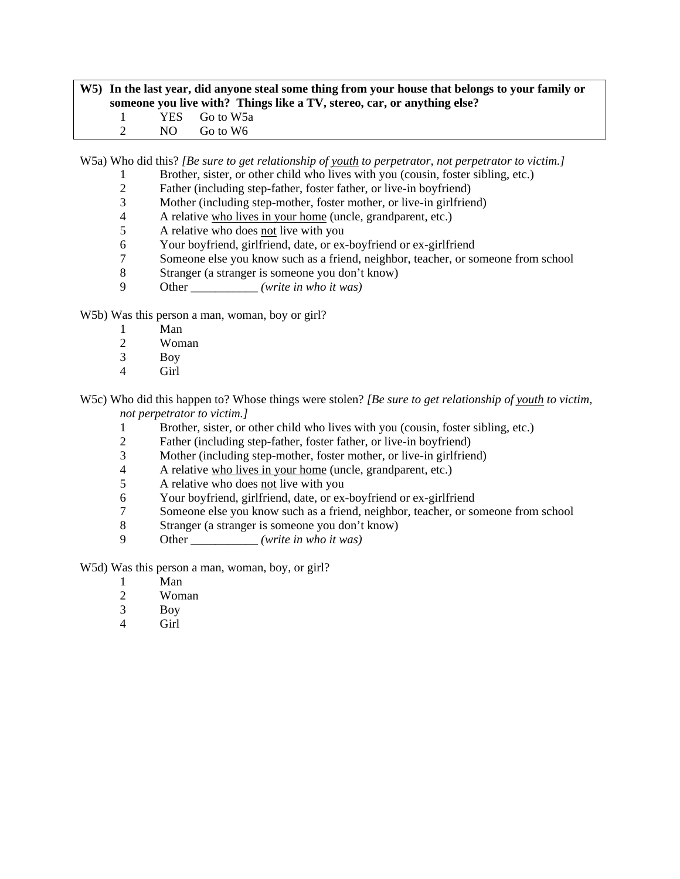# **W5) In the last year, did anyone steal some thing from your house that belongs to your family or someone you live with? Things like a TV, stereo, car, or anything else?**  1 YES Go to W5a 2 NO Go to W6

W5a) Who did this? *[Be sure to get relationship of youth to perpetrator, not perpetrator to victim.]*

- 1 Brother, sister, or other child who lives with you (cousin, foster sibling, etc.)
- 2 Father (including step-father, foster father, or live-in boyfriend)<br>3 Mother (including step-mother, foster mother, or live-in girlfrien
- Mother (including step-mother, foster mother, or live-in girlfriend)
- 4 A relative who lives in your home (uncle, grandparent, etc.)
- 5 A relative who does not live with you
- 6 Your boyfriend, girlfriend, date, or ex-boyfriend or ex-girlfriend
- 7 Someone else you know such as a friend, neighbor, teacher, or someone from school
- 8 Stranger (a stranger is someone you don't know)
- 9 Other \_\_\_\_\_\_\_\_\_\_\_ *(write in who it was)*

W5b) Was this person a man, woman, boy or girl?

- 1 Man<br>2 Wom
- Woman
- 3 Boy
- 4 Girl

W5c) Who did this happen to? Whose things were stolen? *[Be sure to get relationship of youth to victim, not perpetrator to victim.]*

- 1 Brother, sister, or other child who lives with you (cousin, foster sibling, etc.)
- 2 Father (including step-father, foster father, or live-in boyfriend)
- 3 Mother (including step-mother, foster mother, or live-in girlfriend)
- 4 A relative who lives in your home (uncle, grandparent, etc.)
- 5 A relative who does not live with you
- 6 Your boyfriend, girlfriend, date, or ex-boyfriend or ex-girlfriend
- 7 Someone else you know such as a friend, neighbor, teacher, or someone from school
- 8 Stranger (a stranger is someone you don't know)
- 9 Other \_\_\_\_\_\_\_\_\_\_\_ *(write in who it was)*

W5d) Was this person a man, woman, boy, or girl?

- 1 Man
- 2 Woman
- 3 Boy
- 4 Girl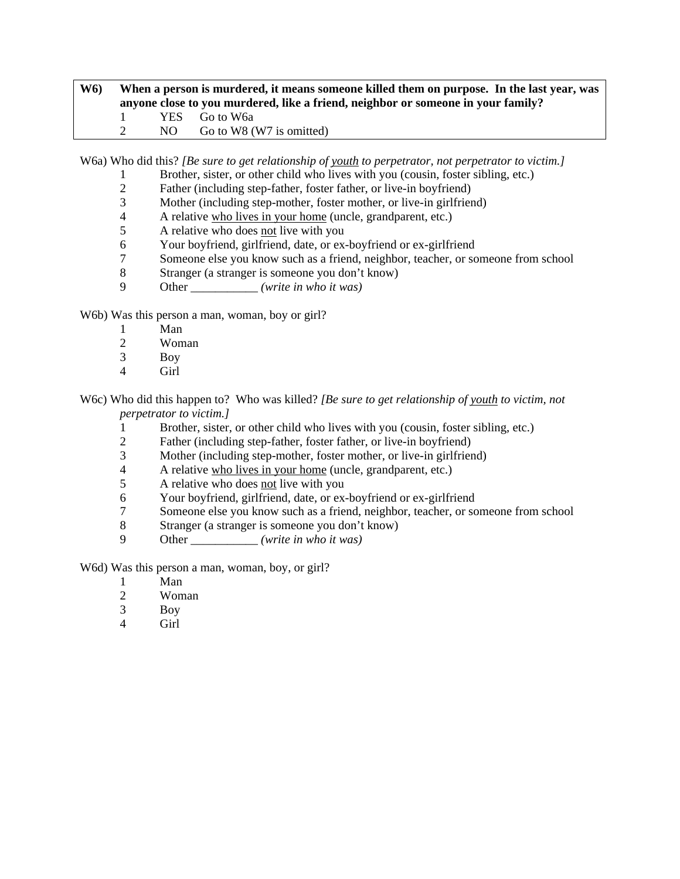# **W6) When a person is murdered, it means someone killed them on purpose. In the last year, was anyone close to you murdered, like a friend, neighbor or someone in your family?**  1 YES Go to W6a 2 NO Go to W8 (W7 is omitted)

W6a) Who did this? *[Be sure to get relationship of youth to perpetrator, not perpetrator to victim.]*

- 1 Brother, sister, or other child who lives with you (cousin, foster sibling, etc.)
- 2 Father (including step-father, foster father, or live-in boyfriend)<br>3 Mother (including step-mother, foster mother, or live-in girlfrien
- Mother (including step-mother, foster mother, or live-in girlfriend)
- 4 A relative who lives in your home (uncle, grandparent, etc.)
- 5 A relative who does not live with you
- 6 Your boyfriend, girlfriend, date, or ex-boyfriend or ex-girlfriend
- 7 Someone else you know such as a friend, neighbor, teacher, or someone from school
- 8 Stranger (a stranger is someone you don't know)
- 9 Other \_\_\_\_\_\_\_\_\_\_\_ *(write in who it was)*

W6b) Was this person a man, woman, boy or girl?

- 1 Man<br>2 Wom
- Woman
- 3 Boy
- 4 Girl

W6c) Who did this happen to? Who was killed? *[Be sure to get relationship of youth to victim, not perpetrator to victim.]*

- 1 Brother, sister, or other child who lives with you (cousin, foster sibling, etc.)
- 2 Father (including step-father, foster father, or live-in boyfriend)
- 3 Mother (including step-mother, foster mother, or live-in girlfriend)
- 4 A relative who lives in your home (uncle, grandparent, etc.)
- 5 A relative who does not live with you
- 6 Your boyfriend, girlfriend, date, or ex-boyfriend or ex-girlfriend
- 7 Someone else you know such as a friend, neighbor, teacher, or someone from school
- 8 Stranger (a stranger is someone you don't know)
- 9 Other \_\_\_\_\_\_\_\_\_\_\_ *(write in who it was)*

W6d) Was this person a man, woman, boy, or girl?

- 1 Man
- 2 Woman
- 3 Boy
- 4 Girl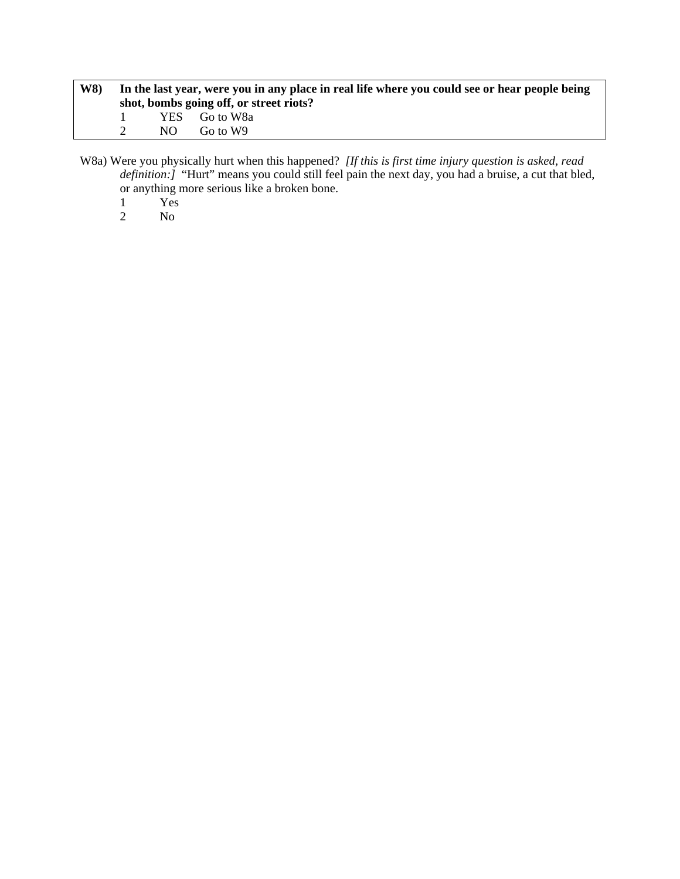| <b>W8</b> ) | In the last year, were you in any place in real life where you could see or hear people being<br>shot, bombs going off, or street riots? |                           |  |  |
|-------------|------------------------------------------------------------------------------------------------------------------------------------------|---------------------------|--|--|
|             | NO.                                                                                                                                      | YES Go to W8a<br>Go to W9 |  |  |

W8a) Were you physically hurt when this happened? *[If this is first time injury question is asked, read definition:]* "Hurt" means you could still feel pain the next day, you had a bruise, a cut that bled, or anything more serious like a broken bone.

- 1 Yes
- 2 No